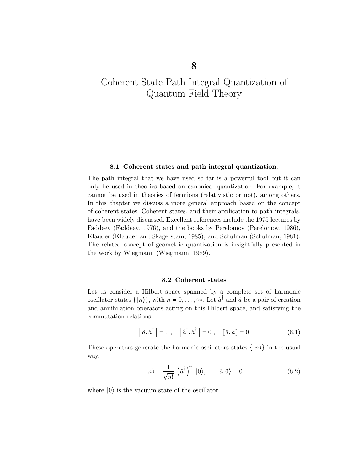#### 8.1 Coherent states and path integral quantization.

The path integral that we have used so far is a powerful tool but it can only be used in theories based on canonical quantization. For example, it cannot be used in theories of fermions (relativistic or not), among others. In this chapter we discuss a more general approach based on the concept of coherent states. Coherent states, and their application to path integrals, have been widely discussed. Excellent references include the 1975 lectures by Faddeev (Faddeev, 1976), and the books by Perelomov (Perelomov, 1986), Klauder (Klauder and Skagerstam, 1985), and Schulman (Schulman, 1981). The related concept of geometric quantization is insightfully presented in the work by Wiegmann (Wiegmann, 1989).

#### 8.2 Coherent states

Let us consider a Hilbert space spanned by a complete set of harmonic oscillator states  $\{|n\rangle\}$ , with  $n = 0, \ldots, \infty$ . Let  $\hat{a}^{\dagger}$  and  $\hat{a}$  be a pair of creation and annihilation operators acting on this Hilbert space, and satisfying the commutation relations

$$
\left[\hat{a}, \hat{a}^{\dagger}\right] = 1\ ,\quad \left[\hat{a}^{\dagger}, \hat{a}^{\dagger}\right] = 0\ ,\quad \left[\hat{a}, \hat{a}\right] = 0\tag{8.1}
$$

These operators generate the harmonic oscillators states  $\{|n\rangle\}$  in the usual way,

$$
|n\rangle = \frac{1}{\sqrt{n!}} (\hat{a}^{\dagger})^n |0\rangle, \qquad \hat{a}|0\rangle = 0
$$
 (8.2)

where ∣0⟩ is the vacuum state of the oscillator.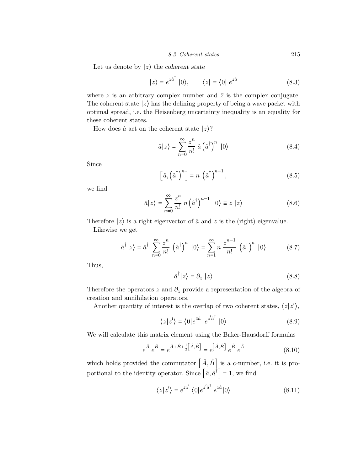Let us denote by  $|z\rangle$  the coherent state

$$
|z\rangle = e^{z\hat{a}^{\dagger}} |0\rangle, \qquad \langle z| = \langle 0| e^{\bar{z}\hat{a}} \qquad (8.3)
$$

where z is an arbitrary complex number and  $\bar{z}$  is the complex conjugate. The coherent state  $|z\rangle$  has the defining property of being a wave packet with optimal spread, i.e. the Heisenberg uncertainty inequality is an equality for these coherent states.

How does  $\hat{a}$  act on the coherent state  $|z\rangle$ ?

$$
\hat{a}|z\rangle = \sum_{n=0}^{\infty} \frac{z^n}{n!} \hat{a} (\hat{a}^\dagger)^n |0\rangle \tag{8.4}
$$

Since

$$
\left[\hat{a}, \left(\hat{a}^\dagger\right)^n\right] = n \left(\hat{a}^\dagger\right)^{n-1},\tag{8.5}
$$

we find

$$
\hat{a}|z\rangle = \sum_{n=0}^{\infty} \frac{z^n}{n!} n \left(\hat{a}^\dagger\right)^{n-1} |0\rangle \equiv z |z\rangle \tag{8.6}
$$

Therefore  $|z\rangle$  is a right eigenvector of  $\hat{a}$  and  $z$  is the (right) eigenvalue.

Likewise we get

$$
\hat{a}^{\dagger}|z\rangle = \hat{a}^{\dagger} \sum_{n=0}^{\infty} \frac{z^n}{n!} \left(\hat{a}^{\dagger}\right)^n |0\rangle = \sum_{n=1}^{\infty} n \frac{z^{n-1}}{n!} \left(\hat{a}^{\dagger}\right)^n |0\rangle \tag{8.7}
$$

Thus,

$$
\hat{a}^{\dagger}|z\rangle = \partial_z |z\rangle \tag{8.8}
$$

Therefore the operators z and  $\partial_z$  provide a representation of the algebra of creation and annihilation operators.

Another quantity of interest is the overlap of two coherent states,  $\langle z|z' \rangle$ ,

$$
\langle z|z'\rangle = \langle 0|e^{\bar{z}\hat{a}} e^{z'\hat{a}^\dagger} |0\rangle \tag{8.9}
$$

We will calculate this matrix element using the Baker-Hausdorff formulas

$$
e^{\hat{A}} e^{\hat{B}} = e^{\hat{A} + \hat{B} + \frac{1}{2} \left[ \hat{A}, \hat{B} \right]} = e^{\left[ \hat{A}, \hat{B} \right]} e^{\hat{B}} e^{\hat{A}}
$$
(8.10)

which holds provided the commutator  $\left[\hat{A}, \hat{B}\right]$  is a c-number, i.e. it is proportional to the identity operator. Since  $\left[\hat{a}, \hat{a}^{\dagger}\right] = 1$ , we find

$$
\langle z|z'\rangle = e^{\bar{z}z'} \langle 0|e^{z'\hat{a}^\dagger} e^{\bar{z}\hat{a}}|0\rangle \tag{8.11}
$$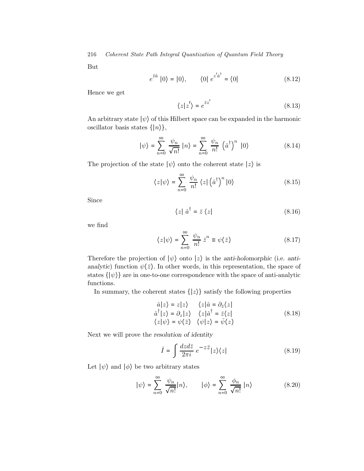But

$$
e^{\bar{z}\hat{a}}\left|0\right\rangle = \left|0\right\rangle, \qquad \left\langle 0\right| \, e^{\bar{z}'\hat{a}^\dagger} = \left\langle 0\right|\tag{8.12}
$$

Hence we get

$$
\langle z|z'\rangle = e^{\bar{z}z'}\tag{8.13}
$$

An arbitrary state  $|\psi\rangle$  of this Hilbert space can be expanded in the harmonic oscillator basis states  $\{|n\rangle\},\$ 

$$
|\psi\rangle = \sum_{n=0}^{\infty} \frac{\psi_n}{\sqrt{n!}} |n\rangle = \sum_{n=0}^{\infty} \frac{\psi_n}{n!} (\hat{a}^{\dagger})^n |0\rangle
$$
 (8.14)

The projection of the state  $|\psi\rangle$  onto the coherent state  $|z\rangle$  is

$$
\langle z|\psi\rangle = \sum_{n=0}^{\infty} \frac{\psi_n}{n!} \langle z|\left(\hat{a}^{\dagger}\right)^n|0\rangle \tag{8.15}
$$

Since

$$
\langle z | \hat{a}^{\dagger} = \bar{z} \langle z |
$$
 (8.16)

we find

$$
\langle z|\psi\rangle = \sum_{n=0}^{\infty} \frac{\psi_n}{n!} \,\bar{z}^n \equiv \psi(\bar{z})\tag{8.17}
$$

Therefore the projection of  $|\psi\rangle$  onto  $|z\rangle$  is the anti-holomorphic (i.e. antianalytic) function  $\psi(\bar{z})$ . In other words, in this representation, the space of states  $\{|\psi\rangle\}$  are in one-to-one correspondence with the space of anti-analytic functions.

In summary, the coherent states  $\{|z\rangle\}$  satisfy the following properties

$$
\hat{a}|z\rangle = z|z\rangle \qquad \langle z|\hat{a} = \partial_{\bar{z}}\langle z| \n\hat{a}^{\dagger}|z\rangle = \partial_{z}|z\rangle \qquad \langle z|\hat{a}^{\dagger} = \bar{z}\langle z| \n\langle z|\psi\rangle = \psi(\bar{z}) \qquad \langle \psi|z\rangle = \bar{\psi}(z)
$$
\n(8.18)

Next we will prove the resolution of identity

$$
\hat{I} = \int \frac{dzd\bar{z}}{2\pi i} e^{-z\bar{z}} |z\rangle\langle z|
$$
\n(8.19)

Let  $|\psi\rangle$  and  $|\phi\rangle$  be two arbitrary states

$$
|\psi\rangle = \sum_{n=0}^{\infty} \frac{\psi_n}{\sqrt{n!}} |n\rangle, \qquad |\phi\rangle = \sum_{n=0}^{\infty} \frac{\phi_n}{\sqrt{n!}} |n\rangle \tag{8.20}
$$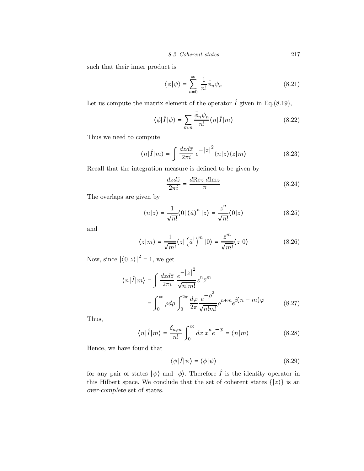such that their inner product is

$$
\langle \phi | \psi \rangle = \sum_{n=0}^{\infty} \frac{1}{n!} \bar{\phi}_n \psi_n \tag{8.21}
$$

Let us compute the matrix element of the operator  $\hat{I}$  given in Eq.(8.19),

$$
\langle \phi | \hat{I} | \psi \rangle = \sum_{m,n} \frac{\bar{\phi}_n \psi_n}{n!} \langle n | \hat{I} | m \rangle \tag{8.22}
$$

Thus we need to compute

$$
\langle n|\hat{I}|m\rangle = \int \frac{dzd\bar{z}}{2\pi i} e^{-|z|^2} \langle n|z\rangle \langle z|m\rangle \tag{8.23}
$$

Recall that the integration measure is defined to be given by

$$
\frac{dzd\bar{z}}{2\pi i} = \frac{d\text{Re}z \ d\text{Im}z}{\pi} \tag{8.24}
$$

The overlaps are given by

$$
\langle n|z\rangle = \frac{1}{\sqrt{n!}} \langle 0 | (\hat{a})^n | z \rangle = \frac{z^n}{\sqrt{n!}} \langle 0 | z \rangle \tag{8.25}
$$

and

$$
\langle z|m\rangle = \frac{1}{\sqrt{m!}} \langle z|\left(\hat{a}^{\dagger}\right)^{m}|0\rangle = \frac{\bar{z}^{m}}{\sqrt{m!}} \langle z|0\rangle \tag{8.26}
$$

Now, since  $|\langle 0|z\rangle|^2=1,$  we get

$$
\langle n|\hat{I}|m\rangle = \int \frac{dzd\bar{z}}{2\pi i} \frac{e^{-|z|^2}}{\sqrt{n!m!}} z^n \bar{z}^m
$$

$$
= \int_0^\infty \rho d\rho \int_0^{2\pi} \frac{d\varphi}{2\pi} \frac{e^{-\rho^2}}{\sqrt{n!m!}} \rho^{n+m} e^{i(n-m)\varphi}
$$
(8.27)

 $\overline{a}$ 

Thus,

$$
\langle n|\hat{I}|m\rangle = \frac{\delta_{n,m}}{n!} \int_0^\infty dx \; x^n e^{-x} = \langle n|m\rangle \tag{8.28}
$$

Hence, we have found that

$$
\langle \phi | \hat{I} | \psi \rangle = \langle \phi | \psi \rangle \tag{8.29}
$$

for any pair of states  $|\psi\rangle$  and  $|\phi\rangle$ . Therefore  $\hat{I}$  is the identity operator in this Hilbert space. We conclude that the set of coherent states  $\{|z\rangle\}$  is an over-complete set of states.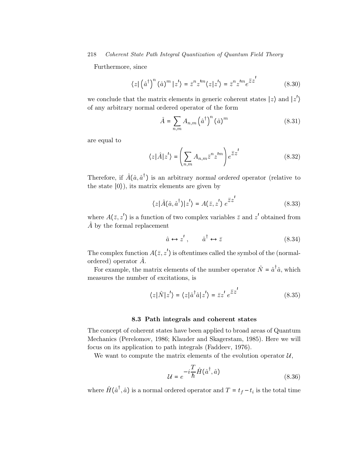Furthermore, since

$$
\langle z | (\hat{a}^{\dagger})^n (\hat{a})^m | z' \rangle = \bar{z}^n z^{lm} \langle z | z' \rangle = \bar{z}^n z^{lm} e^{\bar{z} z'} \tag{8.30}
$$

we conclude that the matrix elements in generic coherent states  $|z\rangle$  and  $|z'$  $\overline{ }$ of any arbitrary normal ordered operator of the form

$$
\hat{A} = \sum_{n,m} A_{n,m} (\hat{a}^{\dagger})^n (\hat{a})^m
$$
\n(8.31)

are equal to

$$
\langle z|\hat{A}|z'\rangle = \left(\sum_{n,m} A_{n,m} \bar{z}^n z^{lm}\right) e^{\bar{z}z'}
$$
 (8.32)

Therefore, if  $\hat{A}(\hat{a}, \hat{a}^{\dagger})$  is an arbitrary normal ordered operator (relative to the state  $|0\rangle$ ), its matrix elements are given by

$$
\langle z|\hat{A}(\hat{a},\hat{a}^{\dagger})|z'\rangle = A(\bar{z},z')e^{\bar{z}z'}
$$
 (8.33)

where  $A(\bar{z}, z')$  is a function of two complex variables  $\bar{z}$  and  $z'$  obtained from  $\hat{A}$  by the formal replacement

$$
\hat{a} \leftrightarrow z', \qquad \hat{a}^{\dagger} \leftrightarrow \bar{z} \tag{8.34}
$$

The complex function  $A(\bar{z},z')$  is oftentimes called the symbol of the (normalordered) operator  $\hat{A}$ .

For example, the matrix elements of the number operator  $\hat{N} = \hat{a}^{\dagger} \hat{a}$ , which measures the number of excitations, is

$$
\langle z|\hat{N}|z'\rangle = \langle z|\hat{a}^{\dagger}\hat{a}|z'\rangle = \bar{z}z'\;e^{\bar{z}z'}\tag{8.35}
$$

#### 8.3 Path integrals and coherent states

The concept of coherent states have been applied to broad areas of Quantum Mechanics (Perelomov, 1986; Klauder and Skagerstam, 1985). Here we will focus on its application to path integrals (Faddeev, 1976).

We want to compute the matrix elements of the evolution operator  $U$ ,

$$
\mathcal{U} = e^{-i\frac{T}{\hbar}\hat{H}(\hat{a}^{\dagger}, \hat{a})}
$$
\n(8.36)

where  $\hat{H}(\hat{a}^{\dagger}, \hat{a})$  is a normal ordered operator and  $T = t_f - t_i$  is the total time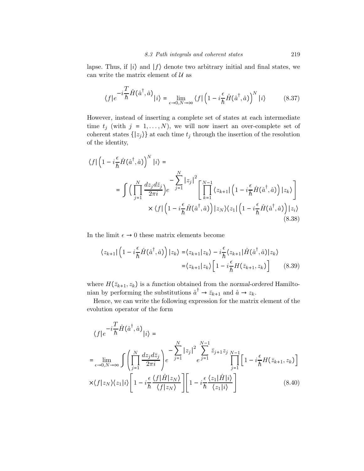lapse. Thus, if  $|i\rangle$  and  $|f\rangle$  denote two arbitrary initial and final states, we can write the matrix element of  $\mathcal{U}$  as

$$
\langle f|e^{-i\frac{T}{\hbar}\hat{H}(\hat{a}^{\dagger},\hat{a})}|i\rangle = \lim_{\epsilon \to 0, N \to \infty} \langle f| \left(1 - i\frac{\epsilon}{\hbar}\hat{H}(\hat{a}^{\dagger},\hat{a})\right)^N |i\rangle \tag{8.37}
$$

However, instead of inserting a complete set of states at each intermediate time  $t_j$  (with  $j = 1, ..., N$ ), we will now insert an over-complete set of coherent states  $\{|z_j\rangle\}$  at each time  $t_j$  through the insertion of the resolution of the identity,

$$
\langle f | \left( 1 - i \frac{\epsilon}{\hbar} \hat{H}(\hat{a}^{\dagger}, \hat{a}) \right)^N | i \rangle =
$$
  
\n
$$
= \int \left( \prod_{j=1}^N \frac{dz_j d\bar{z}_j}{2\pi i} \right) e^{-\sum_{j=1}^N |z_j|^2} \left[ \prod_{k=1}^{N-1} \langle z_{k+1} | \left( 1 - i \frac{\epsilon}{\hbar} \hat{H}(\hat{a}^{\dagger}, \hat{a}) \right) | z_k \rangle \right]
$$
  
\n
$$
\times \langle f | \left( 1 - i \frac{\epsilon}{\hbar} \hat{H}(\hat{a}^{\dagger}, \hat{a}) \right) | z_N \rangle \langle z_1 | \left( 1 - i \frac{\epsilon}{\hbar} \hat{H}(\hat{a}^{\dagger}, \hat{a}) \right) | z_i \rangle
$$
\n(8.38)

In the limit  $\epsilon \to 0$  these matrix elements become

$$
\langle z_{k+1} | \left( 1 - i \frac{\epsilon}{\hbar} \hat{H}(\hat{a}^\dagger, \hat{a}) \right) | z_k \rangle = \langle z_{k+1} | z_k \rangle - i \frac{\epsilon}{\hbar} \langle z_{k+1} | \hat{H}(\hat{a}^\dagger, \hat{a}) | z_k \rangle
$$
  

$$
= \langle z_{k+1} | z_k \rangle \left[ 1 - i \frac{\epsilon}{\hbar} H(\bar{z}_{k+1}, z_k) \right] \tag{8.39}
$$

where  $H(\bar{z}_{k+1}, z_k)$  is a function obtained from the normal-ordered Hamiltonian by performing the substitutions  $\hat{a}^{\dagger} \rightarrow \bar{z}_{k+1}$  and  $\hat{a} \rightarrow z_k$ .

Hence, we can write the following expression for the matrix element of the evolution operator of the form

$$
\langle f|e^{-i\frac{T}{\hbar}\hat{H}(\hat{a}^{\dagger},\hat{a})}|i\rangle =
$$
  
\n
$$
= \lim_{\epsilon \to 0, N \to \infty} \int \left(\prod_{j=1}^{N} \frac{dz_j d\bar{z}_j}{2\pi i}\right) e^{-\sum_{j=1}^{N} |z_j|^2} \sum_{\ell}^{N-1} \bar{z}_{j+1} z_j \prod_{j=1}^{N-1} \left[1 - i\frac{\epsilon}{\hbar} H(\bar{z}_{k+1}, z_k)\right]
$$
  
\n
$$
\times \langle f|z_N \rangle \langle z_1|i \rangle \left[1 - i\frac{\epsilon}{\hbar} \frac{\langle f|\hat{H}|z_N \rangle}{\langle f|z_N \rangle}\right] \left[1 - i\frac{\epsilon}{\hbar} \frac{\langle z_1|\hat{H}|i \rangle}{\langle z_1|i \rangle}\right]
$$
(8.40)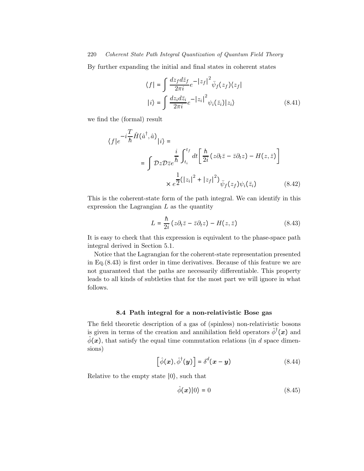By further expanding the initial and final states in coherent states

$$
\langle f | = \int \frac{dz_f d\bar{z}_f}{2\pi i} e^{-|z_f|^2} \bar{\psi}_f(z_f) \langle z_f |
$$

$$
|i\rangle = \int \frac{dz_i d\bar{z}_i}{2\pi i} e^{-|z_i|^2} \psi_i(\bar{z}_i) |z_i\rangle
$$
(8.41)

we find the (formal) result

$$
\langle f|e^{-i\frac{T}{\hbar}\hat{H}(\hat{a}^{\dagger},\hat{a})}|i\rangle =
$$
  

$$
= \int \mathcal{D}z \mathcal{D}\bar{z}e^{\frac{i}{\hbar}\int_{t_i}^{t_f}dt\left[\frac{\hbar}{2i}(z\partial_t\bar{z}-\bar{z}\partial_t z)-H(z,\bar{z})\right]}
$$

$$
\times e^{\frac{1}{2}(|z_i|^2+|z_f|^2)}\bar{\psi}_f(z_f)\psi_i(\bar{z}_i) \tag{8.42}
$$

This is the coherent-state form of the path integral. We can identify in this expression the Lagrangian  $L$  as the quantity

$$
L = \frac{\hbar}{2i} \left( z \partial_t \bar{z} - \bar{z} \partial_t z \right) - H(z, \bar{z}) \tag{8.43}
$$

It is easy to check that this expression is equivalent to the phase-space path integral derived in Section 5.1.

Notice that the Lagrangian for the coherent-state representation presented in Eq.(8.43) is first order in time derivatives. Because of this feature we are not guaranteed that the paths are necessarily differentiable. This property leads to all kinds of subtleties that for the most part we will ignore in what follows.

# 8.4 Path integral for a non-relativistic Bose gas

The field theoretic description of a gas of (spinless) non-relativistic bosons is given in terms of the creation and annihilation field operators  $\hat{\phi}^{\dagger}(\boldsymbol{x})$  and  $\hat{\phi}(\boldsymbol{x})$ , that satisfy the equal time commutation relations (in d space dimensions)

$$
\left[\hat{\phi}(\boldsymbol{x}), \hat{\phi}^{\dagger}(\boldsymbol{y})\right] = \delta^d(\boldsymbol{x} - \boldsymbol{y})\tag{8.44}
$$

Relative to the empty state ∣0⟩, such that

$$
\hat{\phi}(\boldsymbol{x})|0\rangle = 0\tag{8.45}
$$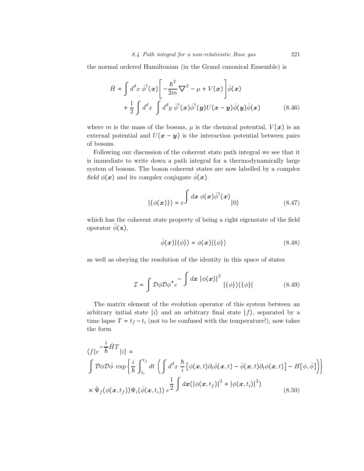the normal ordered Hamiltonian (in the Grand canonical Ensemble) is

$$
\hat{H} = \int d^d x \hat{\phi}^\dagger(\boldsymbol{x}) \left[ -\frac{\hbar^2}{2m} \nabla^2 - \mu + V(\boldsymbol{x}) \right] \hat{\phi}(\boldsymbol{x}) \n+ \frac{1}{2} \int d^d x \int d^d y \hat{\phi}^\dagger(\boldsymbol{x}) \hat{\phi}^\dagger(\boldsymbol{y}) U(\boldsymbol{x} - \boldsymbol{y}) \hat{\phi}(\boldsymbol{y}) \hat{\phi}(\boldsymbol{x})
$$
\n(8.46)

where m is the mass of the bosons,  $\mu$  is the chemical potential,  $V(\boldsymbol{x})$  is an external potential and  $U(x - y)$  is the interaction potential between pairs of bosons.

Following our discussion of the coherent state path integral we see that it is immediate to write down a path integral for a thermodynamically large system of bosons. The boson coherent states are now labelled by a complex field  $\phi(x)$  and its complex conjugate  $\bar{\phi}(x)$ .

$$
|\{\phi(\boldsymbol{x})\}\rangle = e^{\int d\boldsymbol{x} \phi(\boldsymbol{x}) \hat{\phi}^{\dagger}(\boldsymbol{x})} |0\rangle
$$
 (8.47)

which has the coherent state property of being a right eigenstate of the field operator  $\hat{\phi}(\mathbf{x}),$ 

$$
\hat{\phi}(\boldsymbol{x})|\{\phi\}\rangle = \phi(\boldsymbol{x})|\{\phi\}\rangle \tag{8.48}
$$

as well as obeying the resolution of the identity in this space of states

$$
\mathcal{I} = \int \mathcal{D}\phi \mathcal{D}\phi^* e^{-\int dx \, |\phi(x)|^2} |\{\phi\}\rangle \langle \{\phi\}| \tag{8.49}
$$

The matrix element of the evolution operator of this system between an arbitrary initial state  $|i\rangle$  and an arbitrary final state  $|f\rangle$ , separated by a time lapse  $T = t_f - t_i$  (not to be confused with the temperature!), now takes the form

$$
\langle f|e^{-\frac{i}{\hbar}\hat{H}T}|i\rangle =
$$
\n
$$
\int \mathcal{D}\phi \mathcal{D}\bar{\phi} \exp\left\{\frac{i}{\hbar} \int_{t_i}^{t_f} dt \left( \int d^d x \frac{\hbar}{i} \left[ \phi(x, t) \partial_t \bar{\phi}(x, t) - \bar{\phi}(x, t) \partial_t \phi(x, t) \right] - H[\phi, \bar{\phi}] \right) \right\}
$$
\n
$$
\times \bar{\Psi}_f(\phi(x, t_f)) \Psi_i(\bar{\phi}(x, t_i)) e^{\frac{1}{2} \int dx \left( \left| \phi(x, t_f) \right|^2 + \left| \phi(x, t_i) \right|^2 \right)}
$$
\n(8.50)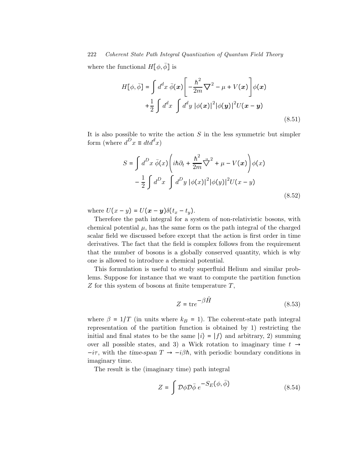where the functional  $H[\phi, \bar{\phi}]$  is

$$
H[\phi, \bar{\phi}] = \int d^d x \ \bar{\phi}(\boldsymbol{x}) \left[ -\frac{\hbar^2}{2m} \nabla^2 - \mu + V(\boldsymbol{x}) \right] \phi(\boldsymbol{x})
$$
  
+ 
$$
\frac{1}{2} \int d^d x \int d^d y \ |\phi(\boldsymbol{x})|^2 |\phi(\boldsymbol{y})|^2 U(\boldsymbol{x} - \boldsymbol{y})
$$
(8.51)

It is also possible to write the action  $S$  in the less symmetric but simpler form (where  $d^D x \equiv dt d^d x$ )

$$
S = \int d^D x \,\bar{\phi}(x) \left( i\hbar \partial_t + \frac{\hbar^2}{2m} \vec{\nabla}^2 + \mu - V(x) \right) \phi(x)
$$

$$
- \frac{1}{2} \int d^D x \int d^D y \, |\phi(x)|^2 |\phi(y)|^2 U(x - y)
$$
(8.52)

where  $U(x - y) = U(x - y)\delta(t_x - t_y)$ .

Therefore the path integral for a system of non-relativistic bosons, with chemical potential  $\mu$ , has the same form os the path integral of the charged scalar field we discussed before except that the action is first order in time derivatives. The fact that the field is complex follows from the requirement that the number of bosons is a globally conserved quantity, which is why one is allowed to introduce a chemical potential.

This formulation is useful to study superfluid Helium and similar problems. Suppose for instance that we want to compute the partition function  $Z$  for this system of bosons at finite temperature  $T$ ,

$$
Z = \text{tr}e^{-\beta \hat{H}} \tag{8.53}
$$

where  $\beta = 1/T$  (in units where  $k_B = 1$ ). The coherent-state path integral representation of the partition function is obtained by 1) restricting the initial and final states to be the same  $|i\rangle = |f\rangle$  and arbitrary, 2) summing over all possible states, and 3) a Wick rotation to imaginary time  $t \rightarrow$  $-i\tau$ , with the time-span  $T \rightarrow -i\beta\hbar$ , with periodic boundary conditions in imaginary time.

The result is the (imaginary time) path integral

$$
Z = \int \mathcal{D}\phi \mathcal{D}\bar{\phi} e^{-S_E(\phi, \bar{\phi})}
$$
 (8.54)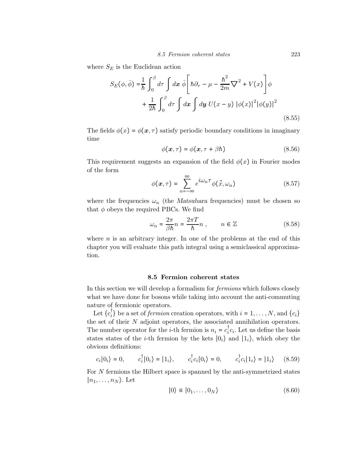where  $S_E$  is the Euclidean action

$$
S_E(\phi, \bar{\phi}) = \frac{1}{\hbar} \int_0^{\beta} d\tau \int dx \, \bar{\phi} \Bigg[ \hbar \partial_{\tau} - \mu - \frac{\hbar^2}{2m} \nabla^2 + V(x) \Bigg] \phi + \frac{1}{2\hbar} \int_0^{\beta} d\tau \int dx \int dy U(x - y) |\phi(x)|^2 |\phi(y)|^2
$$
(8.55)

The fields  $\phi(x) = \phi(x, \tau)$  satisfy periodic boundary conditions in imaginary time

$$
\phi(\mathbf{x},\tau) = \phi(\mathbf{x},\tau + \beta \hbar) \tag{8.56}
$$

This requirement suggests an expansion of the field  $\phi(x)$  in Fourier modes of the form

$$
\phi(\mathbf{x}, \tau) = \sum_{n = -\infty}^{\infty} e^{i\omega_n \tau} \phi(\vec{x}, \omega_n)
$$
 (8.57)

where the frequencies  $\omega_n$  (the Matsubara frequencies) must be chosen so that  $\phi$  obeys the required PBCs. We find

$$
\omega_n = \frac{2\pi}{\beta h} n = \frac{2\pi T}{h} n , \qquad n \in \mathbb{Z}
$$
 (8.58)

where  $n$  is an arbitrary integer. In one of the problems at the end of this chapter you will evaluate this path integral using a semiclassical approximation.

## 8.5 Fermion coherent states

In this section we will develop a formalism for fermions which follows closely what we have done for bosons while taking into account the anti-commuting nature of fermionic operators.

Let  ${c_i^{\dagger}}$  be a set of *fermion* creation operators, with  $i = 1, ..., N$ , and  ${c_i}$ the set of their  $N$  adjoint operators, the associated annihilation operators. The number operator for the *i*-th fermion is  $n_i = c_i^{\dagger} c_i$ . Let us define the basis states states of the *i*-th fermion by the kets  $|0_i\rangle$  and  $|1_i\rangle$ , which obey the obvious definitions:

$$
c_i|0_i\rangle = 0, \qquad c_i^{\dagger}|0_i\rangle = |1_i\rangle, \qquad c_i^{\dagger}c_i|0_i\rangle = 0, \qquad c_i^{\dagger}c_i|1_i\rangle = |1_i\rangle \qquad (8.59)
$$

For N fermions the Hilbert space is spanned by the anti-symmetrized states  $|n_1,\ldots,n_N\rangle$ . Let

$$
|0\rangle \equiv |0_1, \dots, 0_N\rangle \tag{8.60}
$$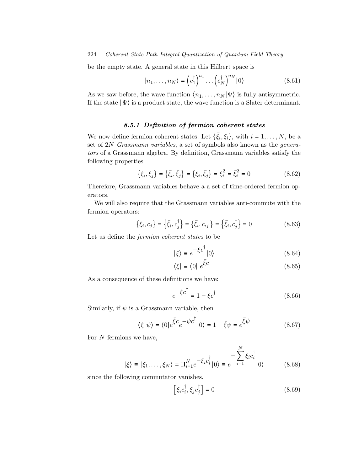be the empty state. A general state in this Hilbert space is

$$
|n_1, \dots, n_N\rangle = \left(c_1^\dagger\right)^{n_1} \dots \left(c_N^\dagger\right)^{n_N} |0\rangle \tag{8.61}
$$

As we saw before, the wave function  $\langle n_1,\ldots,n_N | \Psi \rangle$  is fully antisymmetric. If the state  $|\Psi\rangle$  is a product state, the wave function is a Slater determinant.

# 8.5.1 Definition of fermion coherent states

We now define fermion coherent states. Let  $\{\bar{\xi}_i,\xi_i\}$ , with  $i=1,\ldots,N$ , be a set of 2N Grassmann variables, a set of symbols also known as the generators of a Grassmann algebra. By definition, Grassmann variables satisfy the following properties

$$
\{\xi_i, \xi_j\} = \{\bar{\xi}_i, \bar{\xi}_j\} = \{\xi_i, \bar{\xi}_j\} = \xi_i^2 = \bar{\xi}_i^2 = 0
$$
\n(8.62)

Therefore, Grassmann variables behave a a set of time-ordered fermion operators.

We will also require that the Grassmann variables anti-commute with the fermion operators:

 $\mathbf{r}$ 

$$
\{\xi_i, c_j\} = \{\bar{\xi}_i, c_j^{\dagger}\} = \{\bar{\xi}_i, c_j\} = \{\bar{\xi}_i, c_j^{\dagger}\} = 0
$$
\n(8.63)

Let us define the fermion coherent states to be

$$
|\xi\rangle \equiv e^{-\xi c^{\dagger}}|0\rangle \tag{8.64}
$$

$$
\langle \xi | \equiv \langle 0 | e^{\bar{\xi}c} \tag{8.65}
$$

As a consequence of these definitions we have:

$$
e^{-\xi c^{\dagger}} = 1 - \xi c^{\dagger} \tag{8.66}
$$

Similarly, if  $\psi$  is a Grassmann variable, then

$$
\langle \xi | \psi \rangle = \langle 0 | e^{\bar{\xi}c} e^{-\psi c^{\dagger}} | 0 \rangle = 1 + \bar{\xi} \psi = e^{\bar{\xi} \psi}
$$
 (8.67)

For  $N$  fermions we have,

$$
|\xi\rangle \equiv |\xi_1,\ldots,\xi_N\rangle = \Pi_{i=1}^N e^{-\xi_i c_i^{\dagger}} |0\rangle \equiv e^{-\sum_{i=1}^N \xi_i c_i^{\dagger}} |0\rangle \qquad (8.68)
$$

since the following commutator vanishes,

$$
\[ \xi_i c_i^\dagger, \xi_j c_j^\dagger \] = 0 \tag{8.69}
$$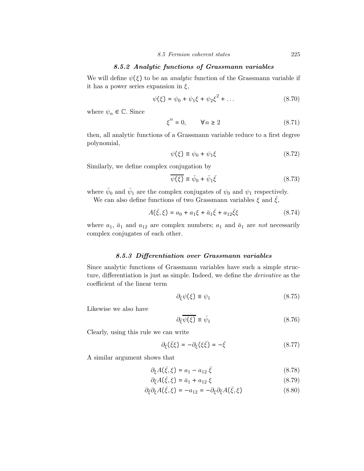# 8.5.2 Analytic functions of Grassmann variables

We will define  $\psi(\xi)$  to be an *analytic* function of the Grassmann variable if it has a power series expansion in  $\xi$ ,

$$
\psi(\xi) = \psi_0 + \psi_1 \xi + \psi_2 \xi^2 + \dots \tag{8.70}
$$

where  $\psi_n \in \mathbb{C}$ . Since

$$
\xi^n = 0, \qquad \forall n \ge 2 \tag{8.71}
$$

then, all analytic functions of a Grassmann variable reduce to a first degree polynomial,

$$
\psi(\xi) \equiv \psi_0 + \psi_1 \xi \tag{8.72}
$$

Similarly, we define complex conjugation by

$$
\overline{\psi(\xi)} \equiv \bar{\psi}_0 + \bar{\psi}_1 \bar{\xi} \tag{8.73}
$$

where  $\bar{\psi}_0$  and  $\bar{\psi}_1$  are the complex conjugates of  $\psi_0$  and  $\psi_1$  respectively.

We can also define functions of two Grassmann variables  $\xi$  and  $\overline{\xi}$ ,

$$
A(\bar{\xi}, \xi) = a_0 + a_1 \xi + \bar{a}_1 \bar{\xi} + a_{12} \bar{\xi} \xi \tag{8.74}
$$

where  $a_1$ ,  $\bar{a}_1$  and  $a_{12}$  are complex numbers;  $a_1$  and  $\bar{a}_1$  are not necessarily complex conjugates of each other.

# 8.5.3 Differentiation over Grassmann variables

Since analytic functions of Grassmann variables have such a simple structure, differentiation is just as simple. Indeed, we define the derivative as the coefficient of the linear term

$$
\partial_{\xi}\psi(\xi) \equiv \psi_1 \tag{8.75}
$$

Likewise we also have

$$
\partial_{\bar{\xi}} \overline{\psi(\xi)} \equiv \bar{\psi}_1 \tag{8.76}
$$

Clearly, using this rule we can write

$$
\partial_{\xi}(\bar{\xi}\xi) = -\partial_{\xi}(\xi\bar{\xi}) = -\bar{\xi}
$$
\n(8.77)

A similar argument shows that

$$
\partial_{\xi} A(\bar{\xi}, \xi) = a_1 - a_{12} \bar{\xi} \tag{8.78}
$$

$$
\partial_{\bar{\xi}} A(\bar{\xi}, \xi) = \bar{a}_1 + a_{12} \xi \tag{8.79}
$$

$$
\partial_{\bar{\xi}} \partial_{\xi} A(\bar{\xi}, \xi) = -a_{12} = -\partial_{\xi} \partial_{\bar{\xi}} A(\bar{\xi}, \xi)
$$
(8.80)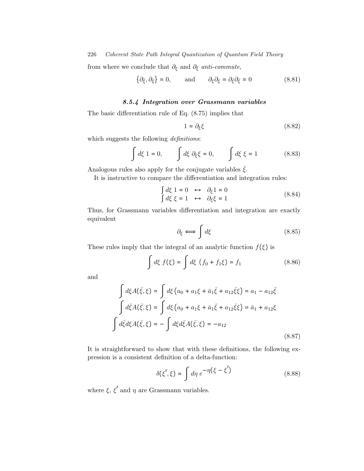from where we conclude that  $\partial_{\xi}$  and  $\partial_{\bar{\xi}}$  anti-commute,

$$
\{\partial_{\bar{\xi}}, \partial_{\xi}\} = 0, \quad \text{and} \quad \partial_{\xi}\partial_{\xi} = \partial_{\bar{\xi}}\partial_{\bar{\xi}} = 0 \tag{8.81}
$$

# 8.5.4 Integration over Grassmann variables

The basic differentiation rule of Eq. (8.75) implies that

$$
1 = \partial_{\xi} \xi \tag{8.82}
$$

which suggests the following *definitions*:

$$
\int d\xi \, 1 = 0, \qquad \int d\xi \, \partial_{\xi} \xi = 0, \qquad \int d\xi \, \xi = 1 \tag{8.83}
$$

Analogous rules also apply for the conjugate variables  $\bar{\xi}$ .

It is instructive to compare the differentiation and integration rules:

$$
\begin{aligned}\n\int d\xi \, 1 &= 0 \quad \leftrightarrow \quad \partial_{\xi} 1 = 0 \\
\int d\xi \, \xi &= 1 \quad \leftrightarrow \quad \partial_{\xi} \xi = 1\n\end{aligned} \tag{8.84}
$$

Thus, for Grassmann variables differentiation and integration are exactly equivalent

$$
\partial_{\xi} \Longleftrightarrow \int d\xi \tag{8.85}
$$

These rules imply that the integral of an analytic function  $f(\xi)$  is

$$
\int d\xi \ f(\xi) = \int d\xi \ (f_0 + f_1 \xi) = f_1 \tag{8.86}
$$

and

$$
\int d\xi A(\bar{\xi}, \xi) = \int d\xi \left( a_0 + a_1 \xi + \bar{a}_1 \bar{\xi} + a_{12} \bar{\xi} \xi \right) = a_1 - a_{12} \bar{\xi}
$$
  

$$
\int d\bar{\xi} A(\bar{\xi}, \xi) = \int d\xi \left( a_0 + a_1 \xi + \bar{a}_1 \bar{\xi} + a_{12} \bar{\xi} \xi \right) = \bar{a}_1 + a_{12} \xi
$$
  

$$
\int d\bar{\xi} d\xi A(\bar{\xi}, \xi) = - \int d\xi d\bar{\xi} A(\bar{\xi}, \xi) = -a_{12}
$$
(8.87)

It is straightforward to show that with these definitions, the following expression is a consistent definition of a delta-function:

$$
\delta(\xi',\xi) = \int d\eta \, e^{-\eta(\xi - \xi')}
$$
\n(8.88)

where  $\xi$ ,  $\xi'$  and  $\eta$  are Grassmann variables.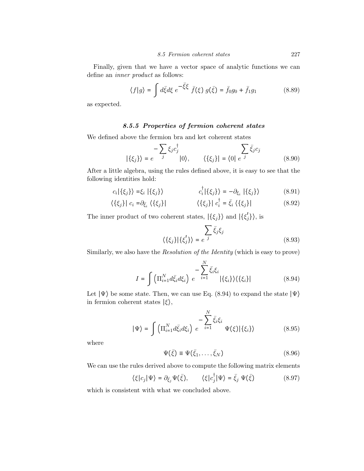Finally, given that we have a vector space of analytic functions we can define an inner product as follows:

$$
\langle f|g \rangle = \int d\bar{\xi} d\xi \; e^{-\bar{\xi}\xi} \; \bar{f}(\xi) \; g(\bar{\xi}) = \bar{f}_0 g_0 + \bar{f}_1 g_1 \tag{8.89}
$$

as expected.

# 8.5.5 Properties of fermion coherent states

We defined above the fermion bra and ket coherent states

$$
|\{\xi_j\}\rangle = e^{-\sum_{j} \xi_j c_j^{\dagger}} |0\rangle, \qquad \langle \{\xi_j\}| = \langle 0| e^{-j} \qquad (8.90)
$$

After a little algebra, using the rules defined above, it is easy to see that the following identities hold:

$$
c_i|\{\xi_j\}\rangle = \xi_i|\{\xi_j\}\rangle
$$
 
$$
c_i^{\dagger}|\{\xi_j\}\rangle = -\partial_{\xi_i}|\{\xi_j\}\rangle
$$
 (8.91)

$$
\langle \{\xi_j\} | \ c_i = \partial_{\bar{\xi}_i} \langle \{\xi_j\} | \qquad \langle \{\xi_j\} | \ c_i^{\dagger} = \bar{\xi}_i \langle \{\xi_j\} | \qquad (8.92)
$$

The inner product of two coherent states,  $|\{\xi_j\}\rangle$  and  $|\{\xi'_j\}\rangle$ , is

$$
\langle \{\xi_j\}|\{\xi'_j\}\rangle = e^{-j} \overline{\xi_j}\xi_j \tag{8.93}
$$

Similarly, we also have the *Resolution of the Identity* (which is easy to prove)

$$
I = \int \left( \Pi_{i=1}^{N} d\bar{\xi}_{i} d\xi_{i} \right) e^{-\sum_{i=1}^{N} \bar{\xi}_{i} \xi_{i}} |\{\xi_{i}\}\rangle \langle \{\xi_{i}\}|
$$
(8.94)

Let  $|\Psi\rangle$  be some state. Then, we can use Eq. (8.94) to expand the state  $|\Psi\rangle$ in fermion coherent states  $|\xi\rangle$ ,

$$
|\Psi\rangle = \int \left(\Pi_{i=1}^{N} d\bar{\xi}_{i} d\xi_{i}\right) e^{-\sum_{i=1}^{N} \bar{\xi}_{i}\xi_{i}} \Psi(\xi) |\{\xi_{i}\}\rangle \tag{8.95}
$$

where

$$
\Psi(\bar{\xi}) \equiv \Psi(\bar{\xi}_1, \dots, \bar{\xi}_N) \tag{8.96}
$$

We can use the rules derived above to compute the following matrix elements

$$
\langle \xi | c_j | \Psi \rangle = \partial_{\bar{\xi}_j} \Psi(\bar{\xi}), \qquad \langle \xi | c_j^{\dagger} | \Psi \rangle = \bar{\xi}_j \Psi(\bar{\xi}) \tag{8.97}
$$

which is consistent with what we concluded above.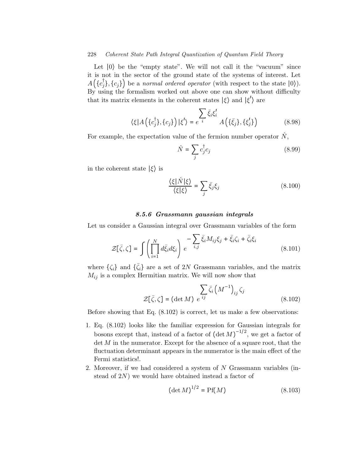Let ∣0⟩ be the "empty state". We will not call it the "vacuum" since it is not in the sector of the ground state of the systems of interest. Let  $A(\lbrace c_j^{\dagger}\rbrace, \lbrace c_j \rbrace)$  be a normal ordered operator (with respect to the state  $|0\rangle$ ). By using the formalism worked out above one can show without difficulty that its matrix elements in the coherent states  $|\xi\rangle$  and  $|\xi'\rangle$  are

$$
\langle \xi | A(\lbrace c_j^{\dagger} \rbrace, \lbrace c_j \rbrace) | \xi' \rangle = e^{-i \overline{\xi}} \overline{\xi}_i \xi'_i A(\lbrace \overline{\xi}_j \rbrace, \lbrace \xi'_j \rbrace)
$$
(8.98)

For example, the expectation value of the fermion number operator  $\hat{N}$ ,

$$
\hat{N} = \sum_{j} c_j^{\dagger} c_j \tag{8.99}
$$

in the coherent state  $|\xi\rangle$  is

$$
\frac{\langle \xi | \hat{N} | \xi \rangle}{\langle \xi | \xi \rangle} = \sum_{j} \bar{\xi}_{j} \xi_{j}
$$
\n(8.100)

# 8.5.6 Grassmann gaussian integrals

Let us consider a Gaussian integral over Grassmann variables of the form

$$
\mathcal{Z}[\bar{\zeta}, \zeta] = \int \left( \prod_{i=1}^{N} d\bar{\xi}_i d\xi_i \right) e^{-\sum_{i,j} \bar{\xi}_i M_{ij} \xi_j + \bar{\xi}_i \zeta_i + \bar{\zeta}_i \xi_i}
$$
(8.101)

where  $\{\zeta_i\}$  and  $\{\bar{\zeta}_i\}$  are a set of 2N Grassmann variables, and the matrix  $M_{ij}$  is a complex Hermitian matrix. We will now show that

$$
\sum_{\tilde{z}} \bar{\zeta}_i \left( M^{-1} \right)_{ij} \zeta_j
$$
\n
$$
\mathcal{Z}[\bar{\zeta}, \zeta] = (\det M) e^{ij} \qquad (8.102)
$$

Before showing that Eq. (8.102) is correct, let us make a few observations:

- 1. Eq. (8.102) looks like the familiar expression for Gaussian integrals for bosons except that, instead of a factor of  $(\det M)^{-1/2}$ , we get a factor of  $\det M$  in the numerator. Except for the absence of a square root, that the fluctuation determinant appears in the numerator is the main effect of the Fermi statistics!.
- 2. Moreover, if we had considered a system of N Grassmann variables (instead of 2N) we would have obtained instead a factor of

$$
(\det M)^{1/2} = Pf(M)
$$
 (8.103)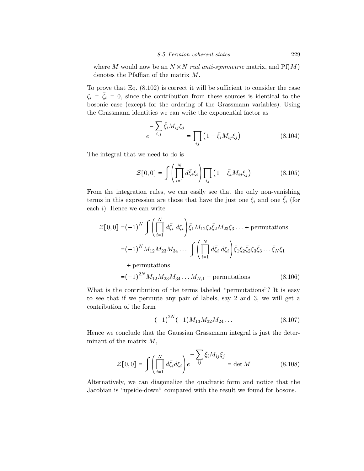where M would now be an  $N \times N$  real anti-symmetric matrix, and Pf(M) denotes the Pfaffian of the matrix M.

To prove that Eq. (8.102) is correct it will be sufficient to consider the case  $\zeta_i = \zeta_i = 0$ , since the contribution from these sources is identical to the bosonic case (except for the ordering of the Grassmann variables). Using the Grassmann identities we can write the exponential factor as

$$
e^{-\sum_{i,j} \bar{\xi}_i M_{ij} \xi_j} = \prod_{ij} \left( 1 - \bar{\xi}_i M_{ij} \xi_j \right) \tag{8.104}
$$

The integral that we need to do is

$$
\mathcal{Z}[0,0] = \int \left( \prod_{i=1}^{N} d\bar{\xi}_{i} \xi_{i} \right) \prod_{ij} \left( 1 - \bar{\xi}_{i} M_{ij} \xi_{j} \right) \tag{8.105}
$$

From the integration rules, we can easily see that the only non-vanishing terms in this expression are those that have the just one  $\xi_i$  and one  $\bar{\xi}_i$  (for each  $i$ ). Hence we can write

$$
\mathcal{Z}[0,0] = (-1)^N \int \left( \prod_{i=1}^N d\bar{\xi}_i \, d\xi_i \right) \bar{\xi}_1 M_{12} \xi_2 \bar{\xi}_2 M_{23} \xi_3 \dots + \text{ permutations}
$$
  
=  $(-1)^N M_{12} M_{23} M_{34} \dots \int \left( \prod_{i=1}^N d\bar{\xi}_i \, d\xi_i \right) \bar{\xi}_1 \xi_2 \bar{\xi}_2 \xi_3 \bar{\xi}_3 \dots \bar{\xi}_N \xi_1$ 

+ permutations

$$
=(-1)^{2N}M_{12}M_{23}M_{34}\dots M_{N,1} + \text{permutations} \tag{8.106}
$$

What is the contribution of the terms labeled "permutations"? It is easy to see that if we permute any pair of labels, say 2 and 3, we will get a contribution of the form

$$
(-1)^{2N}(-1)M_{13}M_{32}M_{24}\dots \tag{8.107}
$$

Hence we conclude that the Gaussian Grassmann integral is just the determinant of the matrix  $M$ ,

$$
\mathcal{Z}[0,0] = \int \left(\prod_{i=1}^{N} d\bar{\xi}_i d\xi_i\right) e^{-\sum_{ij} \bar{\xi}_i M_{ij} \xi_j} = \det M \tag{8.108}
$$

Alternatively, we can diagonalize the quadratic form and notice that the Jacobian is "upside-down" compared with the result we found for bosons.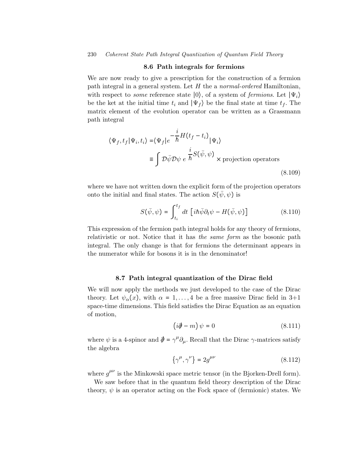#### 8.6 Path integrals for fermions

We are now ready to give a prescription for the construction of a fermion path integral in a general system. Let  $H$  the a *normal-ordered* Hamiltonian, with respect to *some* reference state  $|0\rangle$ , of a system of *fermions*. Let  $|\Psi_i\rangle$ be the ket at the initial time  $t_i$  and  $|\Psi_f\rangle$  be the final state at time  $t_f$ . The matrix element of the evolution operator can be written as a Grassmann path integral

$$
\langle \Psi_f, t_f | \Psi_i, t_i \rangle = \langle \Psi_f | e^{-\frac{i}{\hbar} H \left( t_f - t_i \right)} | \Psi_i \rangle
$$
  

$$
\equiv \int \mathcal{D} \bar{\psi} \mathcal{D} \psi \ e^{-\frac{i}{\hbar} S \left( \bar{\psi}, \psi \right)} \times \text{projection operators}
$$
(8.109)

where we have not written down the explicit form of the projection operators onto the initial and final states. The action  $S(\bar{\psi}, \psi)$  is

$$
S(\bar{\psi}, \psi) = \int_{t_i}^{t_f} dt \, \left[ i\hbar \bar{\psi} \partial_t \psi - H(\bar{\psi}, \psi) \right] \tag{8.110}
$$

This expression of the fermion path integral holds for any theory of fermions, relativistic or not. Notice that it has the same form as the bosonic path integral. The only change is that for fermions the determinant appears in the numerator while for bosons it is in the denominator!

# 8.7 Path integral quantization of the Dirac field

We will now apply the methods we just developed to the case of the Dirac theory. Let  $\psi_{\alpha}(x)$ , with  $\alpha = 1, \ldots, 4$  be a free massive Dirac field in 3+1 space-time dimensions. This field satisfies the Dirac Equation as an equation of motion,

$$
\left(i\partial\!\!\!/ - m\right)\psi = 0\tag{8.111}
$$

where  $\psi$  is a 4-spinor and  $\hat{\phi} = \gamma^{\mu} \partial_{\mu}$ . Recall that the Dirac  $\gamma$ -matrices satisfy the algebra

$$
\{\gamma^{\mu}, \gamma^{\nu}\} = 2g^{\mu\nu} \tag{8.112}
$$

where  $g^{\mu\nu}$  is the Minkowski space metric tensor (in the Bjorken-Drell form).

We saw before that in the quantum field theory description of the Dirac theory,  $\psi$  is an operator acting on the Fock space of (fermionic) states. We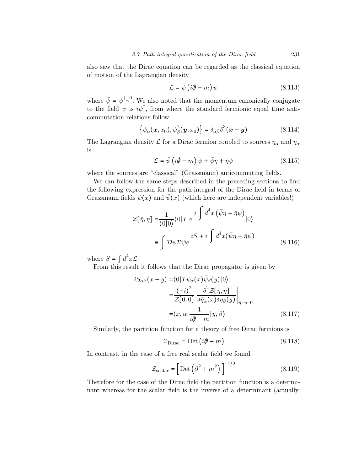also saw that the Dirac equation can be regarded as the classical equation of motion of the Lagrangian density

$$
\mathcal{L} = \bar{\psi} \left( i \partial \hspace{-.2cm} \partial - m \right) \psi \tag{8.113}
$$

where  $\bar{\psi} = \psi^{\dagger} \gamma^{0}$ . We also noted that the momentum canonically conjugate to the field  $\psi$  is  $i\psi^{\dagger}$ , from where the standard fermionic equal time anticommutation relations follow

$$
\{\psi_{\alpha}(\boldsymbol{x},x_0),\psi_{\beta}^{\dagger}(\boldsymbol{y},x_0)\}=\delta_{\alpha\beta}\delta^3(\boldsymbol{x}-\boldsymbol{y})
$$
\n(8.114)

The Lagrangian density  $\mathcal L$  for a Dirac fermion coupled to sources  $\eta_\alpha$  and  $\bar\eta_\alpha$ is

$$
\mathcal{L} = \bar{\psi} \left( i \partial \!\!\! / - m \right) \psi + \bar{\psi} \eta + \bar{\eta} \psi \tag{8.115}
$$

where the sources are "classical" (Grassmann) anticommuting fields.

We can follow the same steps described in the preceding sections to find the following expression for the path-integral of the Dirac field in terms of Grassmann fields  $\psi(x)$  and  $\bar{\psi}(x)$  (which here are independent variables!)

$$
\mathcal{Z}[\bar{\eta}, \eta] = \frac{1}{\langle 0|0 \rangle} \langle 0|T e^{i \int d^4x (\bar{\psi}\eta + \bar{\eta}\psi)}|0\rangle
$$
  

$$
\equiv \int \mathcal{D}\bar{\psi}\mathcal{D}\psi e^{iS + i \int d^4x (\bar{\psi}\eta + \bar{\eta}\psi)}
$$
(8.116)

where  $S = \int d^4x \mathcal{L}$ .

From this result it follows that the Dirac propagator is given by

$$
iS_{\alpha\beta}(x-y) = \langle 0|T\psi_{\alpha}(x)\bar{\psi}_{\beta}(y)|0\rangle
$$
  

$$
= \frac{(-i)^2}{\mathcal{Z}[0,0]} \frac{\delta^2 \mathcal{Z}[\bar{\eta},\eta]}{\delta\bar{\eta}_{\alpha}(x)\delta\eta_{\beta}(y)}\Big|_{\bar{\eta}=\eta=0}
$$
  

$$
= \langle x,\alpha|\frac{1}{i\partial-m}|y,\beta\rangle
$$
 (8.117)

Similarly, the partition function for a theory of free Dirac fermions is

$$
\mathcal{Z}_{\text{Dirac}} = \text{Det}\left(i\partial - m\right) \tag{8.118}
$$

In contrast, in the case of a free real scalar field we found

$$
\mathcal{Z}_{\text{scalar}} = \left[ \text{Det} \left( \partial^2 + m^2 \right) \right]^{-1/2} \tag{8.119}
$$

Therefore for the case of the Dirac field the partition function is a determinant whereas for the scalar field is the inverse of a determinant (actually,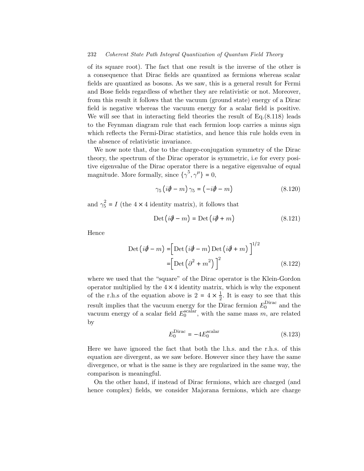of its square root). The fact that one result is the inverse of the other is a consequence that Dirac fields are quantized as fermions whereas scalar fields are quantized as bosons. As we saw, this is a general result for Fermi and Bose fields regardless of whether they are relativistic or not. Moreover, from this result it follows that the vacuum (ground state) energy of a Dirac field is negative whereas the vacuum energy for a scalar field is positive. We will see that in interacting field theories the result of  $Eq.(8.118)$  leads to the Feynman diagram rule that each fermion loop carries a minus sign which reflects the Fermi-Dirac statistics, and hence this rule holds even in the absence of relativistic invariance.

We now note that, due to the charge-conjugation symmetry of the Dirac theory, the spectrum of the Dirac operator is symmetric, i.e for every positive eigenvalue of the Dirac operator there is a negative eigenvalue of equal magnitude. More formally, since  $\{\gamma^5, \gamma^\mu\} = 0$ ,

$$
\gamma_5 \left( i\partial \!\!\!/ - m \right) \gamma_5 = \left( -i\partial \!\!\!/ - m \right) \tag{8.120}
$$

and  $\gamma_5^2 = I$  (the  $4 \times 4$  identity matrix), it follows that

$$
Det(i\partial \!\!\!/-m) = Det(i\partial \!\!\!/-m) \tag{8.121}
$$

Hence

$$
\text{Det}\left(i\partial\!\!\!/ - m\right) = \left[\text{Det}\left(i\partial\!\!\!/ - m\right)\text{Det}\left(i\partial\!\!\!/ + m\right)\right]^{1/2} \\
 = \left[\text{Det}\left(\partial^2 + m^2\right)\right]^2\n\tag{8.122}
$$

where we used that the "square" of the Dirac operator is the Klein-Gordon operator multiplied by the  $4 \times 4$  identity matrix, which is why the exponent of the r.h.s of the equation above is  $2 = 4 \times \frac{1}{2}$ . It is easy to see that this result implies that the vacuum energy for the Dirac fermion  $E_0^{\text{Dirac}}$  and the vacuum energy of a scalar field  $E_0^{\text{scalar}}$ , with the same mass m, are related by

$$
E_0^{\text{Dirac}} = -4E_0^{\text{scalar}} \tag{8.123}
$$

Here we have ignored the fact that both the l.h.s. and the r.h.s. of this equation are divergent, as we saw before. However since they have the same divergence, or what is the same is they are regularized in the same way, the comparison is meaningful.

On the other hand, if instead of Dirac fermions, which are charged (and hence complex) fields, we consider Majorana fermions, which are charge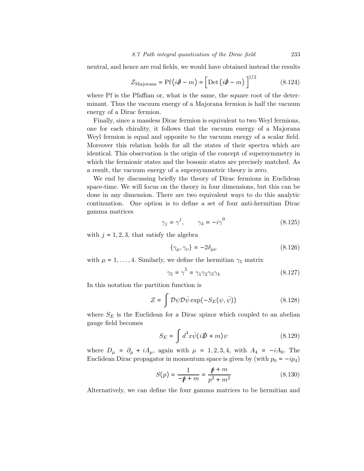neutral, and hence are real fields, we would have obtained instead the results

$$
\mathcal{Z}_{\text{Majorana}} = \text{Pf}\left(i\partial\!\!\!/ - m\right) = \left[\text{Det}\left(i\partial\!\!\!/ - m\right)\right]^{1/2} \tag{8.124}
$$

where Pf is the Pfaffian or, what is the same, the square root of the determinant. Thus the vacuum energy of a Majorana fermion is half the vacuum energy of a Dirac fermion.

Finally, since a massless Dirac fermion is equivalent to two Weyl fermions, one for each chirality, it follows that the vacuum energy of a Majorana Weyl fermion is equal and opposite to the vacuum energy of a scalar field. Moreover this relation holds for all the states of their spectra which are identical. This observation is the origin of the concept of supersymmetry in which the fermionic states and the bosonic states are precisely matched. As a result, the vacuum energy of a supersymmetric theory is zero.

We end by discussing briefly the theory of Dirac fermions in Euclidean space-time. We will focus on the theory in four dimensions, but this can be done in any dimension. There are two equivalent ways to do this analytic continuation. One option is to define a set of four anti-hermitian Dirac gamma matrices

$$
\gamma_j = \gamma^j, \qquad \gamma_4 = -i\gamma^0 \tag{8.125}
$$

with  $j = 1, 2, 3$ , that satisfy the algebra

$$
\{\gamma_{\mu}, \gamma_{\nu}\} = -2\delta_{\mu\nu} \tag{8.126}
$$

with  $\mu = 1, \ldots, 4$ . Similarly, we define the hermitian  $\gamma_5$  matrix

$$
\gamma_5 = \gamma^5 = \gamma_1 \gamma_2 \gamma_3 \gamma_4 \tag{8.127}
$$

In this notation the partition function is

$$
Z = \int \mathcal{D}\psi \mathcal{D}\bar{\psi} \exp(-S_E(\psi, \bar{\psi})) \qquad (8.128)
$$

where  $S_E$  is the Euclidean for a Dirac spinor which coupled to an abelian gauge field becomes

$$
S_E = \int d^4x \bar{\psi}(i\rlap{\,/}D + m)\psi \tag{8.129}
$$

where  $D_{\mu} = \partial_{\mu} + iA_{\mu}$ , again with  $\mu = 1, 2, 3, 4$ , with  $A_4 = -iA_0$ . The Euclidean Dirac propagator in momentum space is given by (with  $p_0 = -ip_4$ )

$$
S(p) = \frac{1}{-\psi + m} = \frac{\psi + m}{p^2 + m^2}
$$
 (8.130)

Alternatively, we can define the four gamma matrices to be hermitian and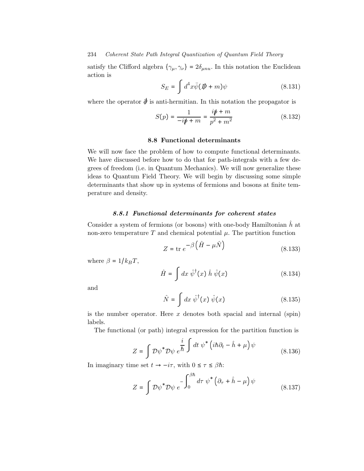satisfy the Clifford algebra  $\{\gamma_{\mu}, \gamma_{\nu}\} = 2\delta_{\mu n u}$ . In this notation the Euclidean action is

$$
S_E = \int d^4x \bar{\psi} (\not{D} + m)\psi \tag{8.131}
$$

where the operator  $\phi$  is anti-hermitian. In this notation the propagator is

$$
S(p) = \frac{1}{-i\rlap/v + m} = \frac{i\rlap/v + m}{p^2 + m^2} \tag{8.132}
$$

# 8.8 Functional determinants

We will now face the problem of how to compute functional determinants. We have discussed before how to do that for path-integrals with a few degrees of freedom (i.e. in Quantum Mechanics). We will now generalize these ideas to Quantum Field Theory. We will begin by discussing some simple determinants that show up in systems of fermions and bosons at finite temperature and density.

# 8.8.1 Functional determinants for coherent states

Consider a system of fermions (or bosons) with one-body Hamiltonian  $h$  at non-zero temperature  $T$  and chemical potential  $\mu$ . The partition function

$$
Z = \text{tr } e^{-\beta \left(\hat{H} - \mu \hat{N}\right)} \tag{8.133}
$$

where  $\beta = 1/k_BT$ ,

$$
\hat{H} = \int dx \; \hat{\psi}^{\dagger}(x) \; \hat{h} \; \hat{\psi}(x) \tag{8.134}
$$

and

$$
\hat{N} = \int dx \; \hat{\psi}^{\dagger}(x) \; \hat{\psi}(x) \tag{8.135}
$$

is the number operator. Here  $x$  denotes both spacial and internal (spin) labels.

The functional (or path) integral expression for the partition function is

$$
Z = \int \mathcal{D}\psi^* \mathcal{D}\psi \, e^{\frac{i}{\hbar} \int dt \, \psi^* \left( i\hbar \partial_t - \hat{h} + \mu \right) \psi} \tag{8.136}
$$

In imaginary time set  $t \to -i\tau$ , with  $0 \le \tau \le \beta \hbar$ :

$$
Z = \int \mathcal{D}\psi^* \mathcal{D}\psi \, e^{-\int_0^{\beta h} d\tau \, \psi^* \left(\partial_\tau + \hat{h} - \mu\right) \psi} \tag{8.137}
$$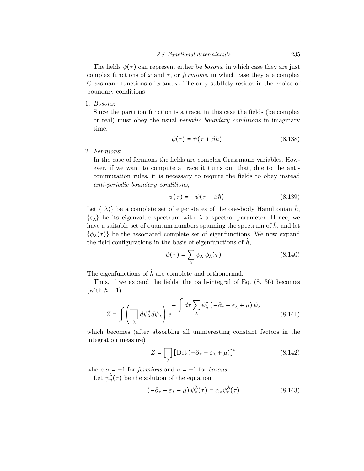The fields  $\psi(\tau)$  can represent either be *bosons*, in which case they are just complex functions of x and  $\tau$ , or *fermions*, in which case they are complex Grassmann functions of x and  $\tau$ . The only subtlety resides in the choice of boundary conditions

1. Bosons:

Since the partition function is a trace, in this case the fields (be complex or real) must obey the usual periodic boundary conditions in imaginary time,

$$
\psi(\tau) = \psi(\tau + \beta \hbar) \tag{8.138}
$$

2. Fermions:

In the case of fermions the fields are complex Grassmann variables. However, if we want to compute a trace it turns out that, due to the anticommutation rules, it is necessary to require the fields to obey instead anti-periodic boundary conditions,

$$
\psi(\tau) = -\psi(\tau + \beta h) \tag{8.139}
$$

Let  $\{|\lambda\rangle\}$  be a complete set of eigenstates of the one-body Hamiltonian  $\hat{h}$ ,  $\{\varepsilon_{\lambda}\}\$ be its eigenvalue spectrum with  $\lambda$  a spectral parameter. Hence, we have a suitable set of quantum numbers spanning the spectrum of  $\hat{h}$ , and let  $\{\phi_{\lambda}(\tau)\}\$ be the associated complete set of eigenfunctions. We now expand the field configurations in the basis of eigenfunctions of  $\hat{h}$ ,

$$
\psi(\tau) = \sum_{\lambda} \psi_{\lambda} \phi_{\lambda}(\tau) \tag{8.140}
$$

The eigenfunctions of  $\hat{h}$  are complete and orthonormal.

Thus, if we expand the fields, the path-integral of Eq. (8.136) becomes (with  $\hbar = 1$ )

$$
Z = \int \left( \prod_{\lambda} d\psi_{\lambda}^* d\psi_{\lambda} \right) e^{-\int d\tau \sum_{\lambda} \psi_{\lambda}^* \left( -\partial_{\tau} - \varepsilon_{\lambda} + \mu \right) \psi_{\lambda}}
$$
(8.141)

which becomes (after absorbing all uninteresting constant factors in the integration measure)

$$
Z = \prod_{\lambda} \left[ \text{Det} \left( -\partial_{\tau} - \varepsilon_{\lambda} + \mu \right) \right]^{\sigma} \tag{8.142}
$$

where  $\sigma = +1$  for *fermions* and  $\sigma = -1$  for *bosons*.

Let  $\psi_n^{\lambda}(\tau)$  be the solution of the equation

$$
(-\partial_{\tau} - \varepsilon_{\lambda} + \mu) \psi_n^{\lambda}(\tau) = \alpha_n \psi_n^{\lambda}(\tau)
$$
 (8.143)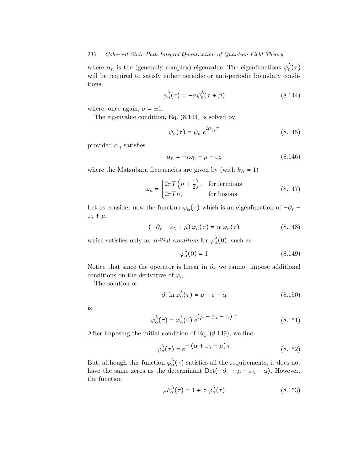where  $\alpha_n$  is the (generally complex) eigenvalue. The eigenfunctions  $\psi_n^{\lambda}(\tau)$ will be required to satisfy either periodic or anti-periodic boundary conditions,

$$
\psi_n^{\lambda}(\tau) = -\sigma \psi_n^{\lambda}(\tau + \beta) \tag{8.144}
$$

where, once again,  $\sigma = \pm 1$ .

The eigenvalue condition, Eq. (8.143) is solved by

$$
\psi_n(\tau) = \psi_n \ e^{i\alpha_n \tau} \tag{8.145}
$$

provided  $\alpha_n$  satisfies

$$
\alpha_n = -i\omega_n + \mu - \varepsilon_\lambda \tag{8.146}
$$

where the Matsubara frequencies are given by (with  $k_B = 1$ )

$$
\omega_n = \begin{cases} 2\pi T \left( n + \frac{1}{2} \right), & \text{for fermions} \\ 2\pi T n, & \text{for bosons} \end{cases}
$$
 (8.147)

Let us consider now the function  $\varphi_{\alpha}(\tau)$  which is an eigenfunction of  $-\partial_{\tau}$  –  $\varepsilon_{\lambda} + \mu$ ,

$$
(-\partial_{\tau} - \varepsilon_{\lambda} + \mu) \varphi_{\alpha}(\tau) = \alpha \varphi_{\alpha}(\tau)
$$
 (8.148)

which satisfies only an *initial condition* for  $\varphi_{\alpha}^{\lambda}(0)$ , such as

$$
\varphi_{\alpha}^{\lambda}(0) = 1 \tag{8.149}
$$

Notice that since the operator is linear in  $\partial_{\tau}$  we cannot impose additional conditions on the derivative of  $\varphi_{\alpha}$ .

The solution of

$$
\partial_{\tau} \ln \varphi_{\alpha}^{\lambda}(\tau) = \mu - \varepsilon - \alpha \tag{8.150}
$$

is

$$
\varphi_{\alpha}^{\lambda}(\tau) = \varphi_{\alpha}^{\lambda}(0) e^{(\mu - \varepsilon_{\lambda} - \alpha)\tau}
$$
 (8.151)

After imposing the initial condition of Eq. (8.149), we find

$$
\varphi_{\alpha}^{\lambda}(\tau) = e^{-(\alpha + \varepsilon_{\lambda} - \mu)\tau}
$$
\n(8.152)

But, although this function  $\varphi_{\alpha}^{\lambda}(\tau)$  satisfies all the requirements, it does not have the same zeros as the determinant Det( $-\partial_{\tau} + \mu - \varepsilon_{\lambda} - \alpha$ ). However, the function

$$
\sigma F_{\alpha}^{\lambda}(\tau) = 1 + \sigma \varphi_{\alpha}^{\lambda}(\tau) \tag{8.153}
$$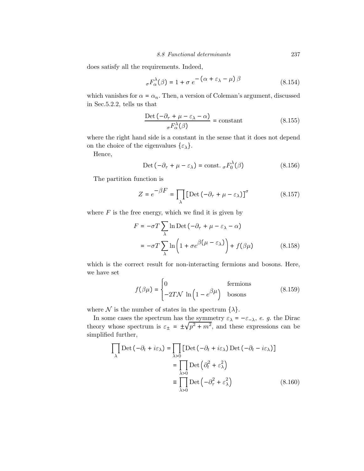does satisfy all the requirements. Indeed,

$$
\sigma F_{\alpha}^{\lambda}(\beta) = 1 + \sigma e^{-\left(\alpha + \varepsilon_{\lambda} - \mu\right)\beta} \tag{8.154}
$$

which vanishes for  $\alpha = \alpha_n$ . Then, a version of Coleman's argument, discussed in Sec.5.2.2, tells us that

$$
\frac{\text{Det}\left(-\partial_{\tau} + \mu - \varepsilon_{\lambda} - \alpha\right)}{\sigma F_{\alpha}^{\lambda}(\beta)} = \text{constant} \tag{8.155}
$$

where the right hand side is a constant in the sense that it does not depend on the choice of the eigenvalues  $\{\varepsilon_{\lambda}\}.$ 

Hence,

$$
Det(-\partial_{\tau} + \mu - \varepsilon_{\lambda}) = const. \, _{\sigma}F_{0}^{\lambda}(\beta) \tag{8.156}
$$

The partition function is

$$
Z = e^{-\beta F} = \prod_{\lambda} \left[ \text{Det} \left( -\partial_{\tau} + \mu - \varepsilon_{\lambda} \right) \right]^{\sigma} \tag{8.157}
$$

where  $F$  is the free energy, which we find it is given by

$$
F = -\sigma T \sum_{\lambda} \ln \text{Det} \left( -\partial_{\tau} + \mu - \varepsilon_{\lambda} - \alpha \right)
$$
  
= 
$$
-\sigma T \sum_{\lambda} \ln \left( 1 + \sigma e^{\beta(\mu - \varepsilon_{\lambda})} \right) + f(\beta \mu)
$$
(8.158)

which is the correct result for non-interacting fermions and bosons. Here, we have set

$$
f(\beta \mu) = \begin{cases} 0 & \text{fermions} \\ -2TN \ln \left( 1 - e^{\beta \mu} \right) & \text{bosons} \end{cases}
$$
(8.159)

where  $\mathcal N$  is the number of states in the spectrum  $\{\lambda\}$ .

In some cases the spectrum has the symmetry  $\varepsilon_{\lambda} = -\varepsilon_{-\lambda}$ , e. g. the Dirac theory whose spectrum is  $\varepsilon_{\pm} = \pm \sqrt{p^2 + m^2}$ , and these expressions can be simplified further,

$$
\prod_{\lambda} \text{Det} \left( -\partial_t + i\varepsilon_{\lambda} \right) = \prod_{\lambda > 0} \left[ \text{Det} \left( -\partial_t + i\varepsilon_{\lambda} \right) \text{Det} \left( -\partial_t - i\varepsilon_{\lambda} \right) \right]
$$

$$
= \prod_{\lambda > 0} \text{Det} \left( \partial_t^2 + \varepsilon_{\lambda}^2 \right)
$$

$$
\equiv \prod_{\lambda > 0} \text{Det} \left( -\partial_\tau^2 + \varepsilon_{\lambda}^2 \right) \tag{8.160}
$$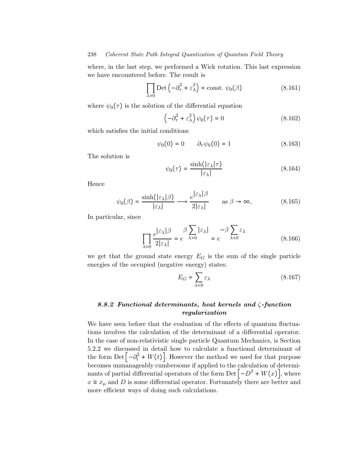where, in the last step, we performed a Wick rotation. This last expression we have encountered before. The result is

$$
\prod_{\lambda>0} \text{Det}\left(-\partial_{\tau}^{2} + \varepsilon_{\lambda}^{2}\right) = \text{const.} \ \psi_{0}(\beta) \tag{8.161}
$$

where  $\psi_0(\tau)$  is the solution of the differential equation

$$
\left(-\partial_{\tau}^{2} + \varepsilon_{\lambda}^{2}\right)\psi_{0}(\tau) = 0\tag{8.162}
$$

which satisfies the initial conditions

$$
\psi_0(0) = 0 \qquad \partial_\tau \psi_0(0) = 1 \tag{8.163}
$$

The solution is

$$
\psi_0(\tau) = \frac{\sinh(|\varepsilon_\lambda|\tau)}{|\varepsilon_\lambda|} \tag{8.164}
$$

Hence

$$
\psi_0(\beta) = \frac{\sinh(|\varepsilon_\lambda|\beta)}{|\varepsilon_\lambda|} \longrightarrow \frac{e^{|\varepsilon_\lambda|\beta}}{2|\varepsilon_\lambda|} \qquad \text{as } \beta \to \infty,
$$
 (8.165)

In particular, since

$$
\prod_{\lambda>0} \frac{e^{|\varepsilon_{\lambda}| \beta}}{2|\varepsilon_{\lambda}|} = e^{-\beta \sum_{\lambda>0} |\varepsilon_{\lambda}|} = e^{-\beta \sum_{\lambda<0} \varepsilon_{\lambda}}
$$
(8.166)

we get that the ground state energy  $E_G$  is the sum of the single particle energies of the occupied (negative energy) states:

$$
E_G = \sum_{\lambda < 0} \varepsilon_\lambda \tag{8.167}
$$

# 8.8.2 Functional determinants, heat kernels and ζ-function regularization

We have seen before that the evaluation of the effects of quantum fluctuations involves the calculation of the determinant of a differential operator. In the case of non-relativistic single particle Quantum Mechanics, is Section 5.2.2 we discussed in detail how to calculate a functional determinant of the form  $\text{Det}\left[-\partial_t^2 + W(t)\right]$ . However the method we used for that purpose becomes unmanageably cumbersome if applied to the calculation of determinants of partial differential operators of the form Det  $\left[-D^2 + W(x)\right]$ , where  $x \equiv x_{\mu}$  and D is some differential operator. Fortunately there are better and more efficient ways of doing such calculations.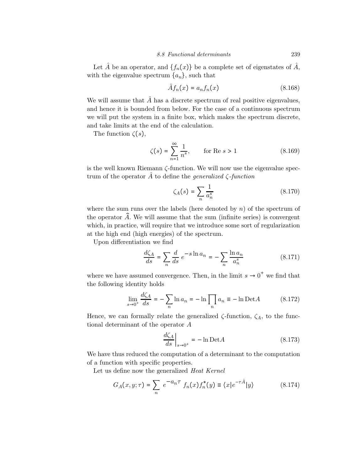Let  $\hat{A}$  be an operator, and  $\{f_n(x)\}\$ be a complete set of eigenstates of  $\hat{A}$ , with the eigenvalue spectrum  $\{a_n\}$ , such that

$$
\hat{A}f_n(x) = a_n f_n(x) \tag{8.168}
$$

We will assume that  $\hat{A}$  has a discrete spectrum of real positive eigenvalues, and hence it is bounded from below. For the case of a continuous spectrum we will put the system in a finite box, which makes the spectrum discrete, and take limits at the end of the calculation.

The function  $\zeta(s)$ ,

$$
\zeta(s) = \sum_{n=1}^{\infty} \frac{1}{n^s}, \qquad \text{for Re } s > 1 \tag{8.169}
$$

is the well known Riemann ζ-function. We will now use the eigenvalue spectrum of the operator  $\hat{A}$  to define the *generalized*  $\zeta$ -function

$$
\zeta_A(s) = \sum_n \frac{1}{a_n^s} \tag{8.170}
$$

where the sum runs over the labels (here denoted by  $n$ ) of the spectrum of the operator  $\tilde{A}$ . We will assume that the sum (infinite series) is convergent which, in practice, will require that we introduce some sort of regularization at the high end (high energies) of the spectrum.

Upon differentiation we find

$$
\frac{d\zeta_A}{ds} = \sum_n \frac{d}{ds} e^{-s \ln a_n} = -\sum_n \frac{\ln a_n}{a_n^s} \tag{8.171}
$$

where we have assumed convergence. Then, in the limit  $s \to 0^+$  we find that the following identity holds

$$
\lim_{s \to 0^+} \frac{d\zeta_A}{ds} = -\sum_n \ln a_n = -\ln \prod_n a_n \equiv -\ln \text{Det}A \tag{8.172}
$$

Hence, we can formally relate the generalized  $\zeta$ -function,  $\zeta_A$ , to the functional determinant of the operator A

$$
\left. \frac{d\zeta_A}{ds} \right|_{s \to 0^+} = -\ln \text{Det} A \tag{8.173}
$$

We have thus reduced the computation of a determinant to the computation of a function with specific properties.

Let us define now the generalized Heat Kernel

$$
G_A(x, y; \tau) = \sum_n e^{-a_n \tau} f_n(x) f_n^*(y) \equiv \langle x | e^{-\tau \hat{A}} | y \rangle \tag{8.174}
$$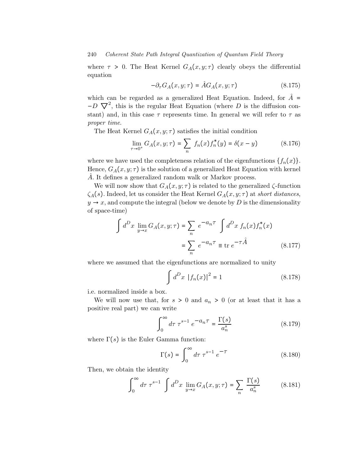where  $\tau > 0$ . The Heat Kernel  $G_A(x, y; \tau)$  clearly obeys the differential equation

$$
-\partial_{\tau}G_{A}(x,y;\tau) = \hat{A}G_{A}(x,y;\tau) \tag{8.175}
$$

which can be regarded as a generalized Heat Equation. Indeed, for  $\hat{A}$  =  $-D \nabla^2$ , this is the regular Heat Equation (where D is the diffusion constant) and, in this case  $\tau$  represents time. In general we will refer to  $\tau$  as proper time.

The Heat Kernel  $G_A(x, y; \tau)$  satisfies the initial condition

$$
\lim_{\tau \to 0^+} G_A(x, y; \tau) = \sum_n f_n(x) f_n^*(y) = \delta(x - y)
$$
\n(8.176)

where we have used the completeness relation of the eigenfunctions  $\{f_n(x)\}.$ Hence,  $G_A(x, y; \tau)$  is the solution of a generalized Heat Equation with kernel  $\hat{A}$ . It defines a generalized random walk or Markov process.

We will now show that  $G_A(x, y; \tau)$  is related to the generalized  $\zeta$ -function  $\zeta_A(s)$ . Indeed, let us consider the Heat Kernel  $G_A(x, y; \tau)$  at short distances,  $y \rightarrow x$ , and compute the integral (below we denote by D is the dimensionality of space-time)

$$
\int d^D x \lim_{y \to x} G_A(x, y; \tau) = \sum_n e^{-a_n \tau} \int d^D x f_n(x) f_n^*(x)
$$

$$
= \sum_n e^{-a_n \tau} \equiv \text{tr } e^{-\tau \hat{A}} \qquad (8.177)
$$

where we assumed that the eigenfunctions are normalized to unity

$$
\int d^D x |f_n(x)|^2 = 1
$$
 (8.178)

i.e. normalized inside a box.

We will now use that, for  $s > 0$  and  $a_n > 0$  (or at least that it has a positive real part) we can write

$$
\int_0^\infty d\tau \ \tau^{s-1} \ e^{-a_n \tau} = \frac{\Gamma(s)}{a_n^s} \tag{8.179}
$$

where  $\Gamma(s)$  is the Euler Gamma function:

$$
\Gamma(s) = \int_0^\infty d\tau \,\tau^{s-1} \,e^{-\tau} \tag{8.180}
$$

Then, we obtain the identity

$$
\int_0^\infty d\tau \,\tau^{s-1} \int d^D x \, \lim_{y \to x} G_A(x, y; \tau) = \sum_n \frac{\Gamma(s)}{a_n^s} \tag{8.181}
$$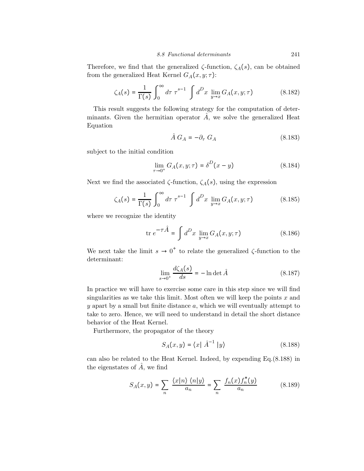Therefore, we find that the generalized  $\zeta$ -function,  $\zeta_A(s)$ , can be obtained from the generalized Heat Kernel  $G_A(x, y; \tau)$ :

$$
\zeta_A(s) = \frac{1}{\Gamma(s)} \int_0^\infty d\tau \ \tau^{s-1} \ \int d^D x \ \lim_{y \to x} G_A(x, y; \tau) \tag{8.182}
$$

This result suggests the following strategy for the computation of determinants. Given the hermitian operator  $\hat{A}$ , we solve the generalized Heat Equation

$$
\hat{A} G_A = -\partial_\tau G_A \tag{8.183}
$$

subject to the initial condition

$$
\lim_{\tau \to 0^+} G_A(x, y; \tau) = \delta^D(x - y)
$$
\n(8.184)

Next we find the associated  $\zeta$ -function,  $\zeta_A(s)$ , using the expression

$$
\zeta_A(s) = \frac{1}{\Gamma(s)} \int_0^\infty d\tau \ \tau^{s-1} \ \int d^D x \ \lim_{y \to x} G_A(x, y; \tau) \tag{8.185}
$$

where we recognize the identity

$$
\text{tr } e^{-\tau \hat{A}} = \int d^D x \lim_{y \to x} G_A(x, y; \tau) \tag{8.186}
$$

We next take the limit  $s \to 0^+$  to relate the generalized  $\zeta$ -function to the determinant:

$$
\lim_{s \to 0^+} \frac{d\zeta_A(s)}{ds} = -\ln \det \hat{A}
$$
\n(8.187)

In practice we will have to exercise some care in this step since we will find singularities as we take this limit. Most often we will keep the points  $x$  and  $y$  apart by a small but finite distance  $a$ , which we will eventually attempt to take to zero. Hence, we will need to understand in detail the short distance behavior of the Heat Kernel.

Furthermore, the propagator of the theory

$$
S_A(x,y) = \langle x | \hat{A}^{-1} | y \rangle \tag{8.188}
$$

can also be related to the Heat Kernel. Indeed, by expending Eq.(8.188) in the eigenstates of  $\hat{A}$ , we find

$$
S_A(x,y) = \sum_{n} \frac{\langle x|n \rangle \langle n|y \rangle}{a_n} = \sum_{n} \frac{f_n(x)f_n^*(y)}{a_n}
$$
(8.189)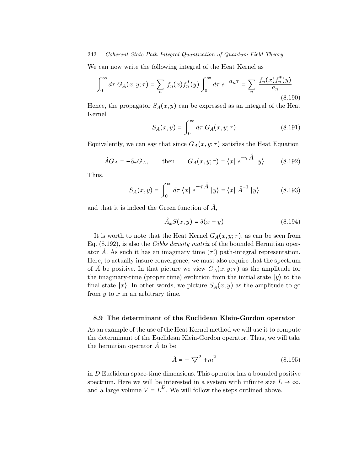We can now write the following integral of the Heat Kernel as

$$
\int_0^{\infty} d\tau \ G_A(x, y; \tau) = \sum_n f_n(x) f_n^*(y) \int_0^{\infty} d\tau \ e^{-a_n \tau} = \sum_n \frac{f_n(x) f_n^*(y)}{a_n}
$$
\n(8.190)

Hence, the propagator  $S_A(x, y)$  can be expressed as an integral of the Heat Kernel

$$
S_A(x,y) = \int_0^\infty d\tau \ G_A(x,y;\tau) \tag{8.191}
$$

Equivalently, we can say that since  $G_A(x, y; \tau)$  satisfies the Heat Equation

$$
\hat{A}G_A = -\partial_{\tau}G_A
$$
, then  $G_A(x, y; \tau) = \langle x | e^{-\tau \hat{A}} | y \rangle$  (8.192)

Thus,

$$
S_A(x,y) = \int_0^\infty d\tau \langle x | e^{-\tau \hat{A}} | y \rangle = \langle x | \hat{A}^{-1} | y \rangle \tag{8.193}
$$

and that it is indeed the Green function of  $\hat{A}$ ,

$$
\hat{A}_x S(x, y) = \delta(x - y) \tag{8.194}
$$

It is worth to note that the Heat Kernel  $G_A(x, y; \tau)$ , as can be seen from Eq. (8.192), is also the Gibbs density matrix of the bounded Hermitian operator A. As such it has an imaginary time  $(\tau!)$  path-integral representation. Here, to actually insure convergence, we must also require that the spectrum of A be positive. In that picture we view  $G_A(x, y; \tau)$  as the amplitude for the imaginary-time (proper time) evolution from the initial state  $|y\rangle$  to the final state  $|x\rangle$ . In other words, we picture  $S_A(x, y)$  as the amplitude to go from  $y$  to  $x$  in an arbitrary time.

#### 8.9 The determinant of the Euclidean Klein-Gordon operator

As an example of the use of the Heat Kernel method we will use it to compute the determinant of the Euclidean Klein-Gordon operator. Thus, we will take the hermitian operator  $\hat{A}$  to be

$$
\hat{A} = -\nabla^2 + m^2\tag{8.195}
$$

in D Euclidean space-time dimensions. This operator has a bounded positive spectrum. Here we will be interested in a system with infinite size  $L \rightarrow \infty$ , and a large volume  $V = L^D$ . We will follow the steps outlined above.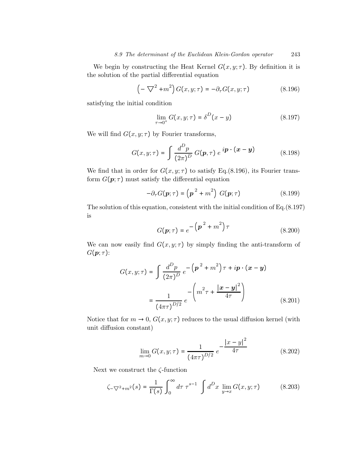We begin by constructing the Heat Kernel  $G(x, y; \tau)$ . By definition it is the solution of the partial differential equation

$$
\left(-\nabla^2 + m^2\right)G(x, y; \tau) = -\partial_\tau G(x, y; \tau) \tag{8.196}
$$

satisfying the initial condition

$$
\lim_{\tau \to 0^+} G(x, y; \tau) = \delta^D(x - y) \tag{8.197}
$$

We will find  $G(x, y; \tau)$  by Fourier transforms,

$$
G(x, y; \tau) = \int \frac{d^D p}{(2\pi)^D} G(\boldsymbol{p}, \tau) e^{i\boldsymbol{p} \cdot (\boldsymbol{x} - \boldsymbol{y})}
$$
(8.198)

We find that in order for  $G(x, y; \tau)$  to satisfy Eq.(8.196), its Fourier transform  $G(\mathbf{p};\tau)$  must satisfy the differential equation

$$
-\partial_{\tau}G(\mathbf{p};\tau) = \left(\mathbf{p}^2 + m^2\right)G(\mathbf{p};\tau) \tag{8.199}
$$

The solution of this equation, consistent with the initial condition of Eq.(8.197) is

$$
G(\mathbf{p};\tau) = e^{-\left(\mathbf{p}^2 + m^2\right)\tau}
$$
\n(8.200)

We can now easily find  $G(x, y; \tau)$  by simply finding the anti-transform of  $G(\boldsymbol{p};\tau)$ :

$$
G(x, y; \tau) = \int \frac{d^D p}{(2\pi)^D} e^{-\left(\mathbf{p}^2 + m^2\right)\tau + i\mathbf{p} \cdot (\mathbf{x} - \mathbf{y})}
$$

$$
= \frac{1}{(4\pi\tau)^{D/2}} e^{-\left(m^2\tau + \frac{|\mathbf{x} - \mathbf{y}|^2}{4\tau}\right)}
$$
(8.201)

Notice that for  $m \to 0$ ,  $G(x, y; \tau)$  reduces to the usual diffusion kernel (with unit diffusion constant)

$$
\lim_{m \to 0} G(x, y; \tau) = \frac{1}{(4\pi\tau)^{D/2}} e^{-\frac{|x - y|^2}{4\tau}}
$$
(8.202)

Next we construct the  $\zeta$ -function

$$
\zeta_{-\nabla^2 + m^2}(s) = \frac{1}{\Gamma(s)} \int_0^\infty d\tau \ \tau^{s-1} \ \int d^D x \ \lim_{y \to x} G(x, y; \tau) \tag{8.203}
$$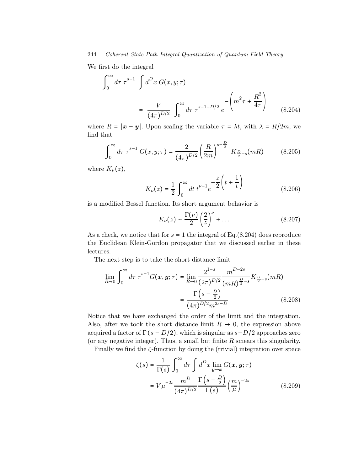We first do the integral

$$
\int_0^\infty d\tau \,\tau^{s-1} \int d^D x \, G(x, y; \tau) \n= \frac{V}{(4\pi)^{D/2}} \int_0^\infty d\tau \,\tau^{s-1-D/2} \, e^{-\left(m^2 \tau + \frac{R^2}{4\tau}\right)} \tag{8.204}
$$

where  $R = |\mathbf{x} - \mathbf{y}|$ . Upon scaling the variable  $\tau = \lambda t$ , with  $\lambda = R/2m$ , we find that

$$
\int_0^\infty d\tau \,\tau^{s-1} \, G(x, y; \tau) = \frac{2}{(4\pi)^{D/2}} \left(\frac{R}{2m}\right)^{s-\frac{D}{2}} \, K_{\frac{D}{2}-s}(mR) \tag{8.205}
$$

where  $K_{\nu}(z)$ ,

$$
K_{\nu}(z) = \frac{1}{2} \int_0^{\infty} dt \, t^{\nu - 1} e^{-\frac{z}{2} \left( t + \frac{1}{t} \right)} \tag{8.206}
$$

is a modified Bessel function. Its short argument behavior is

$$
K_{\nu}(z) \sim \frac{\Gamma(\nu)}{2} \left(\frac{2}{z}\right)^{\nu} + \dots \tag{8.207}
$$

As a check, we notice that for  $s = 1$  the integral of Eq.(8.204) does reproduce the Euclidean Klein-Gordon propagator that we discussed earlier in these lectures.

The next step is to take the short distance limit

$$
\lim_{R \to 0} \int_0^\infty d\tau \,\tau^{s-1} G(\boldsymbol{x}, \boldsymbol{y}; \tau) = \lim_{R \to 0} \frac{2^{1-s}}{(2\pi)^{D/2}} \frac{m^{D-2s}}{(mR)^{\frac{D}{2}-s}} K_{\frac{D}{2}-s}(mR)
$$
\n
$$
= \frac{\Gamma\left(s - \frac{D}{2}\right)}{(4\pi)^{D/2} m^{2s - D}} \tag{8.208}
$$

Notice that we have exchanged the order of the limit and the integration. Also, after we took the short distance limit  $R \to 0$ , the expression above acquired a factor of  $\Gamma(s - D/2)$ , which is singular as  $s - D/2$  approaches zero (or any negative integer). Thus, a small but finite  $R$  smears this singularity.

Finally we find the ζ-function by doing the (trivial) integration over space

$$
\zeta(s) = \frac{1}{\Gamma(s)} \int_0^\infty d\tau \int d^D x \lim_{\mathbf{y} \to \mathbf{x}} G(\mathbf{x}, \mathbf{y}; \tau)
$$

$$
= V \mu^{-2s} \frac{m^D}{(4\pi)^{D/2}} \frac{\Gamma\left(s - \frac{D}{2}\right)}{\Gamma(s)} \left(\frac{m}{\mu}\right)^{-2s} \tag{8.209}
$$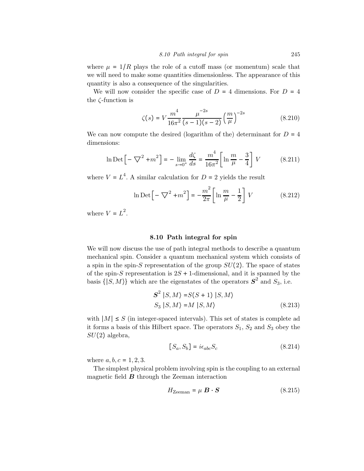where  $\mu = 1/R$  plays the role of a cutoff mass (or momentum) scale that we will need to make some quantities dimensionless. The appearance of this quantity is also a consequence of the singularities.

We will now consider the specific case of  $D = 4$  dimensions. For  $D = 4$ the ζ-function is

$$
\zeta(s) = V \frac{m^4}{16\pi^2} \frac{\mu^{-2s}}{(s-1)(s-2)} \left(\frac{m}{\mu}\right)^{-2s}
$$
\n(8.210)

We can now compute the desired (logarithm of the) determinant for  $D = 4$ dimensions:

$$
\ln \text{Det} \left[ -\nabla^2 + m^2 \right] = -\lim_{s \to 0^+} \frac{d\zeta}{ds} = \frac{m^4}{16\pi^2} \left[ \ln \frac{m}{\mu} - \frac{3}{4} \right] V \tag{8.211}
$$

where  $V = L<sup>4</sup>$ . A similar calculation for  $D = 2$  yields the result

$$
\ln \text{Det} \left[ -\nabla^2 + m^2 \right] = -\frac{m^2}{2\pi} \left[ \ln \frac{m}{\mu} - \frac{1}{2} \right] V \tag{8.212}
$$

where  $V = L^2$ .

#### 8.10 Path integral for spin

We will now discuss the use of path integral methods to describe a quantum mechanical spin. Consider a quantum mechanical system which consists of a spin in the spin-S representation of the group  $SU(2)$ . The space of states of the spin-S representation is  $2S + 1$ -dimensional, and it is spanned by the basis  $\{ |S, M\rangle \}$  which are the eigenstates of the operators  $S^2$  and  $S_3$ , i.e.

$$
S^{2} | S, M \rangle = S(S+1) | S, M \rangle
$$
  
\n
$$
S_{3} | S, M \rangle = M | S, M \rangle
$$
 (8.213)

with  $|M| \leq S$  (in integer-spaced intervals). This set of states is complete ad it forms a basis of this Hilbert space. The operators  $S_1$ ,  $S_2$  and  $S_3$  obey the  $SU(2)$  algebra,

$$
[S_a, S_b] = i\epsilon_{abc} S_c \tag{8.214}
$$

where  $a, b, c = 1, 2, 3$ .

The simplest physical problem involving spin is the coupling to an external magnetic field  $\boldsymbol{B}$  through the Zeeman interaction

$$
H_{\text{Zeeman}} = \mu \ \mathbf{B} \cdot \mathbf{S} \tag{8.215}
$$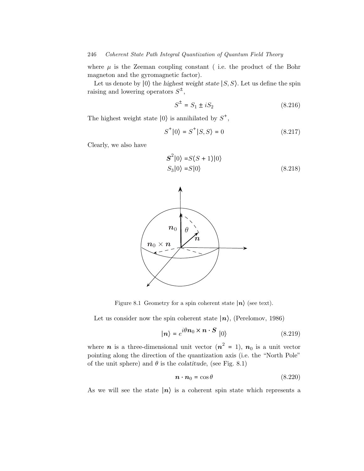where  $\mu$  is the Zeeman coupling constant (i.e. the product of the Bohr magneton and the gyromagnetic factor).

Let us denote by  $|0\rangle$  the highest weight state  $|S, S\rangle$ . Let us define the spin raising and lowering operators  $S^{\pm}$ ,

$$
S^{\pm} = S_1 \pm iS_2 \tag{8.216}
$$

The highest weight state  $|0\rangle$  is annihilated by  $S^+$ ,

$$
S^+|0\rangle = S^+|S,S\rangle = 0 \qquad (8.217)
$$

Clearly, we also have

$$
S^{2}|0\rangle = S(S+1)|0\rangle
$$
  
\n
$$
S_{3}|0\rangle = S|0\rangle
$$
 (8.218)



Figure 8.1 Geometry for a spin coherent state  $|n\rangle$  (see text).

Let us consider now the spin coherent state  $|n\rangle$ , (Perelomov, 1986)

$$
|\mathbf{n}\rangle = e^{i\theta \mathbf{n}_0 \times \mathbf{n} \cdot \mathbf{S}} |0\rangle
$$
 (8.219)

where  $n$  is a three-dimensional unit vector  $(n^2 = 1)$ ,  $n_0$  is a unit vector pointing along the direction of the quantization axis (i.e. the "North Pole" of the unit sphere) and  $\theta$  is the colatitude, (see Fig. 8.1)

$$
\boldsymbol{n} \cdot \boldsymbol{n}_0 = \cos \theta \tag{8.220}
$$

As we will see the state  $|n\rangle$  is a coherent spin state which represents a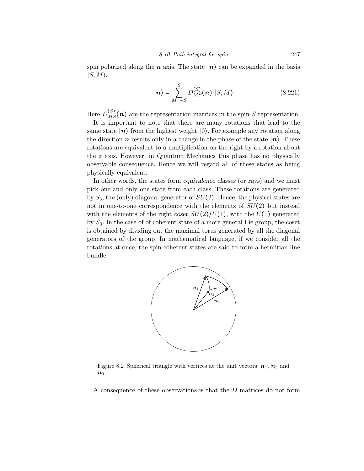spin polarized along the *n* axis. The state  $|n\rangle$  can be expanded in the basis  $|S, M\rangle$ ,

$$
|\mathbf{n}\rangle = \sum_{M=-S}^{S} D_{MS}^{(S)}(\mathbf{n}) |S, M\rangle
$$
 (8.221)

Here  $D_{MS}^{(S)}(\boldsymbol{n})$  are the representation matrices in the spin-S representation.

It is important to note that there are many rotations that lead to the same state  $|n\rangle$  from the highest weight  $|0\rangle$ . For example any rotation along the direction n results only in a change in the phase of the state  $|n\rangle$ . These rotations are equivalent to a multiplication on the right by a rotation about the  $z$  axis. However, in Quantum Mechanics this phase has no physically observable consequence. Hence we will regard all of these states as being physically equivalent.

In other words, the states form equivalence classes (or rays) and we must pick one and only one state from each class. These rotations are generated by  $S_3$ , the (only) diagonal generator of  $SU(2)$ . Hence, the physical states are not in one-to-one correspondence with the elements of  $SU(2)$  but instead with the elements of the right coset  $SU(2)/U(1)$ , with the  $U(1)$  generated by  $S_3$ . In the case of of coherent state of a more general Lie group, the coset is obtained by dividing out the maximal torus generated by all the diagonal generators of the group. In mathematical language, if we consider all the rotations at once, the spin coherent states are said to form a hermitian line bundle.



Figure 8.2 Spherical triangle with vertices at the unit vectors,  $n_1$ ,  $n_2$  and  $n_3$ .

A consequence of these observations is that the D matrices do not form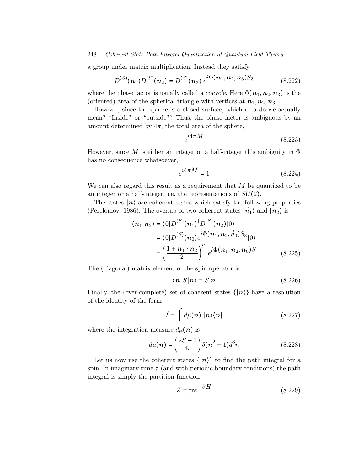a group under matrix multiplication. Instead they satisfy

$$
D^{(S)}(n_1)D^{(S)}(n_2) = D^{(S)}(n_3) e^{i\Phi(n_1, n_2, n_3)S_3}
$$
 (8.222)

where the phase factor is usually called a *cocycle*. Here  $\Phi(n_1, n_2, n_3)$  is the (oriented) area of the spherical triangle with vertices at  $n_1, n_2, n_3$ .

However, since the sphere is a closed surface, which area do we actually mean? "Inside" or "outside"? Thus, the phase factor is ambiguous by an amount determined by  $4\pi$ , the total area of the sphere,

$$
e^{i4\pi M} \tag{8.223}
$$

However, since M is either an integer or a half-integer this ambiguity in  $\Phi$ has no consequence whatsoever,

$$
e^{i4\pi M} = 1\tag{8.224}
$$

We can also regard this result as a requirement that  $M$  be quantized to be an integer or a half-integer, i.e. the representations of  $SU(2)$ .

The states  $|n\rangle$  are coherent states which satisfy the following properties (Perelomov, 1986). The overlap of two coherent states  $|\vec{n}_1\rangle$  and  $|n_2\rangle$  is

$$
\langle n_1 | n_2 \rangle = \langle 0 | D^{(S)}(n_1)^{\dagger} D^{(S)}(n_2) | 0 \rangle
$$
  
= 
$$
\langle 0 | D^{(S)}(n_0) e^{i \Phi(n_1, n_2, n_0) S_3} | 0 \rangle
$$
  
= 
$$
\left( \frac{1 + n_1 \cdot n_2}{2} \right)^S e^{i \Phi(n_1, n_2, n_0) S}
$$
 (8.225)

The (diagonal) matrix element of the spin operator is

$$
\langle n|S|n\rangle = S n \tag{8.226}
$$

Finally, the (over-complete) set of coherent states  $\{|\boldsymbol{n}\rangle\}$  have a resolution of the identity of the form

$$
\hat{I} = \int d\mu(\boldsymbol{n}) \, |\boldsymbol{n}\rangle\langle\boldsymbol{n}| \tag{8.227}
$$

where the integration measure  $d\mu(\boldsymbol{n})$  is

$$
d\mu(n) = \left(\frac{2S+1}{4\pi}\right) \delta(n^2 - 1) d^3 n \tag{8.228}
$$

Let us now use the coherent states  $\{|\boldsymbol{n}\rangle\}$  to find the path integral for a spin. In imaginary time  $\tau$  (and with periodic boundary conditions) the path integral is simply the partition function

$$
Z = \text{tr}e^{-\beta H} \tag{8.229}
$$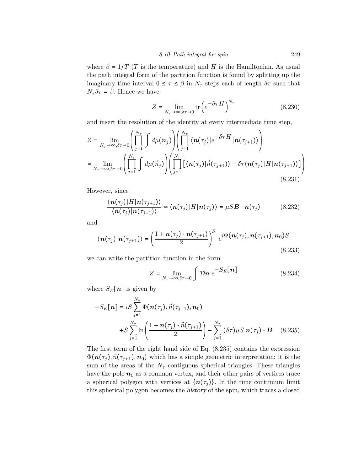where  $\beta = 1/T$  (T is the temperature) and H is the Hamiltonian. As usual the path integral form of the partition function is found by splitting up the imaginary time interval  $0 \leq \tau \leq \beta$  in  $N_{\tau}$  steps each of length  $\delta \tau$  such that  $N_{\tau} \delta \tau = \beta$ . Hence we have

$$
Z = \lim_{N_{\tau} \to \infty, \delta \tau \to 0} \text{tr}\left(e^{-\delta \tau H}\right)^{N_{\tau}}
$$
(8.230)

and insert the resolution of the identity at every intermediate time step,

$$
Z = \lim_{N_{\tau} \to \infty, \delta \tau \to 0} \left( \prod_{j=1}^{N_{\tau}} \int d\mu(\boldsymbol{n}_{j}) \right) \left( \prod_{j=1}^{N_{\tau}} \langle \boldsymbol{n}(\tau_{j}) | e^{-\delta \tau H} | \boldsymbol{n}(\tau_{j+1}) \rangle \right)
$$
  
\n
$$
\approx \lim_{N_{\tau} \to \infty, \delta \tau \to 0} \left( \prod_{j=1}^{N_{\tau}} \int d\mu(\vec{n}_{j}) \right) \left( \prod_{j=1}^{N_{\tau}} \left[ \langle \boldsymbol{n}(\tau_{j}) | \vec{n}(\tau_{j+1}) \rangle - \delta \tau \langle \boldsymbol{n}(\tau_{j}) | H | \boldsymbol{n}(\tau_{j+1}) \rangle \right] \right)
$$
\n(8.231)

However, since

$$
\frac{\langle \mathbf{n}(\tau_j) | H | \mathbf{n}(\tau_{j+1}) \rangle}{\langle \mathbf{n}(\tau_j) | \mathbf{n}(\tau_{j+1}) \rangle} \simeq \langle \mathbf{n}(\tau_j) | H | \mathbf{n}(\tau_j) \rangle = \mu S \mathbf{B} \cdot \mathbf{n}(\tau_j)
$$
(8.232)

and

$$
\langle n(\tau_j) | n(\tau_{j+1}) \rangle = \left( \frac{1 + n(\tau_j) \cdot n(\tau_{j+1})}{2} \right)^S e^{i \Phi(n(\tau_j), n(\tau_{j+1}), n_0) S}
$$
\n(8.233)

we can write the partition function in the form

$$
Z = \lim_{N_{\tau} \to \infty, \delta \tau \to 0} \int \mathcal{D}n \ e^{-S_E[n]} \tag{8.234}
$$

where  $S_E[n]$  is given by

$$
-S_E[n] = iS \sum_{j=1}^{N_{\tau}} \Phi(n(\tau_j), \vec{n}(\tau_{j+1}), n_0)
$$
  
+
$$
S \sum_{j=1}^{N_{\tau}} \ln \left( \frac{1 + n(\tau_j) \cdot \vec{n}(\tau_{j+1})}{2} \right) - \sum_{j=1}^{N_{\tau}} (\delta \tau) \mu S \ n(\tau_j) \cdot B \quad (8.235)
$$

The first term of the right hand side of Eq. (8.235) contains the expression  $\Phi(n(\tau_i), \vec{n}(\tau_{i+1}), n_0)$  which has a simple geometric interpretation: it is the sum of the areas of the  $N_{\tau}$  contiguous spherical triangles. These triangles have the pole  $n_0$  as a common vertex, and their other pairs of vertices trace a spherical polygon with vertices at  $\{n(\tau_i)\}\$ . In the time continuum limit this spherical polygon becomes the history of the spin, which traces a closed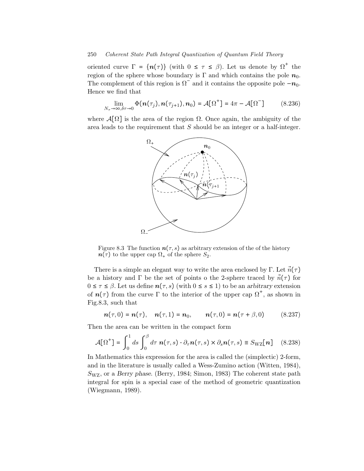oriented curve  $\Gamma = \{n(\tau)\}\$  (with  $0 \leq \tau \leq \beta$ ). Let us denote by  $\Omega^+$  the region of the sphere whose boundary is Γ and which contains the pole  $n_0$ . The complement of this region is  $\Omega$ <sup>–</sup> and it contains the opposite pole  $-n_0$ . Hence we find that

$$
\lim_{N_{\tau}\to\infty,\delta\tau\to 0} \Phi(n(\tau_j), n(\tau_{j+1}), n_0) = \mathcal{A}[\Omega^+] = 4\pi - \mathcal{A}[\Omega^-]
$$
 (8.236)

where  $\mathcal{A}[\Omega]$  is the area of the region  $\Omega$ . Once again, the ambiguity of the area leads to the requirement that  $S$  should be an integer or a half-integer.



Figure 8.3 The function  $n(\tau, s)$  as arbitrary extension of the of the history  $n(\tau)$  to the upper cap  $\Omega_{+}$  of the sphere  $S_2$ .

There is a simple an elegant way to write the area enclosed by Γ. Let  $\vec{n}(\tau)$ be a history and  $\Gamma$  be the set of points o the 2-sphere traced by  $\vec{n}(\tau)$  for  $0 \leq \tau \leq \beta$ . Let us define  $n(\tau, s)$  (with  $0 \leq s \leq 1$ ) to be an arbitrary extension of  $n(\tau)$  from the curve  $\Gamma$  to the interior of the upper cap  $\Omega^+$ , as shown in Fig.8.3, such that

$$
\mathbf{n}(\tau,0) = \mathbf{n}(\tau), \quad \mathbf{n}(\tau,1) = \mathbf{n}_0, \qquad \mathbf{n}(\tau,0) = \mathbf{n}(\tau+\beta,0) \qquad (8.237)
$$

Then the area can be written in the compact form

$$
\mathcal{A}[\Omega^+] = \int_0^1 ds \int_0^\beta d\tau \, \mathbf{n}(\tau, s) \cdot \partial_\tau \mathbf{n}(\tau, s) \times \partial_s \mathbf{n}(\tau, s) \equiv S_{\rm WZ}[\mathbf{n}] \quad (8.238)
$$

In Mathematics this expression for the area is called the (simplectic) 2-form, and in the literature is usually called a Wess-Zumino action (Witten, 1984),  $S_{\text{WZ}}$ , or a Berry phase. (Berry, 1984; Simon, 1983) The coherent state path integral for spin is a special case of the method of geometric quantization (Wiegmann, 1989).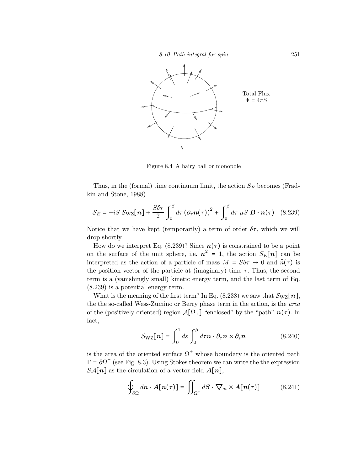8.10 Path integral for spin 251



Figure 8.4 A hairy ball or monopole

Thus, in the (formal) time continuum limit, the action  $S_E$  becomes (Fradkin and Stone, 1988)

$$
S_E = -iS S_{\text{WZ}}[n] + \frac{S\delta\tau}{2} \int_0^\beta d\tau \left(\partial_\tau n(\tau)\right)^2 + \int_0^\beta d\tau \,\mu S \,\mathbf{B} \cdot \mathbf{n}(\tau) \tag{8.239}
$$

Notice that we have kept (temporarily) a term of order  $\delta\tau$ , which we will drop shortly.

How do we interpret Eq. (8.239)? Since  $n(\tau)$  is constrained to be a point on the surface of the unit sphere, i.e.  $n^2 = 1$ , the action  $S_E[n]$  can be interpreted as the action of a particle of mass  $M = S\delta\tau \rightarrow 0$  and  $\vec{n}(\tau)$  is the position vector of the particle at (imaginary) time  $\tau$ . Thus, the second term is a (vanishingly small) kinetic energy term, and the last term of Eq. (8.239) is a potential energy term.

What is the meaning of the first term? In Eq. (8.238) we saw that  $\mathcal{S}_{\text{WZ}}[n]$ , the the so-called Wess-Zumino or Berry phase term in the action, is the area of the (positively oriented) region  $\mathcal{A}[\Omega_+]$  "enclosed" by the "path"  $n(\tau)$ . In fact,

$$
\mathcal{S}_{\rm WZ}[\boldsymbol{n}] = \int_0^1 ds \int_0^\beta d\tau \boldsymbol{n} \cdot \partial_\tau \boldsymbol{n} \times \partial_s \boldsymbol{n} \tag{8.240}
$$

is the area of the oriented surface  $\Omega^+$  whose boundary is the oriented path  $\Gamma = \partial \Omega^+$  (see Fig. 8.3). Using Stokes theorem we can write the the expression  $SA[n]$  as the circulation of a vector field  $A[n]$ ,

$$
\oint_{\partial\Omega} d\mathbf{n} \cdot \mathbf{A}[\mathbf{n}(\tau)] = \iint_{\Omega^+} d\mathbf{S} \cdot \nabla_{\mathbf{n}} \times \mathbf{A}[\mathbf{n}(\tau)] \tag{8.241}
$$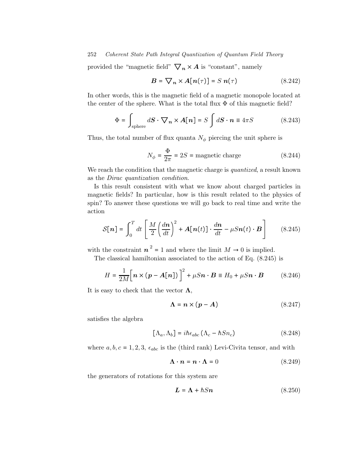provided the "magnetic field"  $\nabla_n \times A$  is "constant", namely

$$
B = \nabla_n \times A[n(\tau)] = S n(\tau) \tag{8.242}
$$

In other words, this is the magnetic field of a magnetic monopole located at the center of the sphere. What is the total flux  $\Phi$  of this magnetic field?

$$
\Phi = \int_{\text{sphere}} d\mathbf{S} \cdot \nabla_n \times \mathbf{A}[n] = S \int d\mathbf{S} \cdot \mathbf{n} \equiv 4\pi S \tag{8.243}
$$

Thus, the total number of flux quanta  $N_{\phi}$  piercing the unit sphere is

$$
N_{\phi} = \frac{\Phi}{2\pi} = 2S = \text{magnetic charge} \tag{8.244}
$$

We reach the condition that the magnetic charge is *quantized*, a result known as the Dirac quantization condition.

Is this result consistent with what we know about charged particles in magnetic fields? In particular, how is this result related to the physics of spin? To answer these questions we will go back to real time and write the action

$$
\mathcal{S}[\boldsymbol{n}] = \int_0^T dt \left[ \frac{M}{2} \left( \frac{d\boldsymbol{n}}{dt} \right)^2 + \boldsymbol{A}[\boldsymbol{n}(t)] \cdot \frac{d\boldsymbol{n}}{dt} - \mu S \boldsymbol{n}(t) \cdot \boldsymbol{B} \right] \tag{8.245}
$$

with the constraint  $n^2 = 1$  and where the limit  $M \to 0$  is implied.

The classical hamiltonian associated to the action of Eq. (8.245) is

$$
H = \frac{1}{2M} \Big[ n \times (p - A[n]) \Big]^2 + \mu Sn \cdot B \equiv H_0 + \mu Sn \cdot B \tag{8.246}
$$

It is easy to check that the vector  $\Lambda$ ,

$$
\Lambda = n \times (p - A) \tag{8.247}
$$

satisfies the algebra

$$
[\Lambda_a, \Lambda_b] = i\hbar \epsilon_{abc} (\Lambda_c - \hbar S n_c) \tag{8.248}
$$

where  $a, b, c = 1, 2, 3, \epsilon_{abc}$  is the (third rank) Levi-Civita tensor, and with

$$
\Lambda \cdot n = n \cdot \Lambda = 0 \tag{8.249}
$$

the generators of rotations for this system are

$$
L = \Lambda + \hbar Sn \tag{8.250}
$$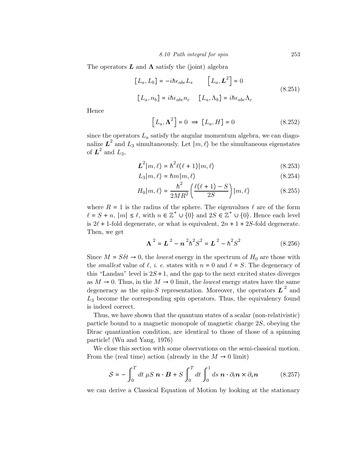The operators  $\boldsymbol{L}$  and  $\boldsymbol{\Lambda}$  satisfy the (joint) algebra

$$
[L_a, L_b] = -i\hbar \epsilon_{abc} L_s \qquad [L_a, L^2] = 0
$$
  

$$
[L_a, n_b] = i\hbar \epsilon_{abc} n_c \qquad [L_a, \Lambda_b] = i\hbar \epsilon_{abc} \Lambda_c
$$
 (8.251)

Hence

$$
\left[L_a, \Lambda^2\right] = 0 \implies \left[L_a, H\right] = 0 \tag{8.252}
$$

since the operators  $L_a$  satisfy the angular momentum algebra, we can diagonalize  $\mathbf{L}^2$  and  $L_3$  simultaneously. Let  $|m, \ell\rangle$  be the simultaneous eigenstates of  $L^2$  and  $L_3$ ,

$$
L^{2}|m,\ell\rangle = \hbar^{2}\ell(\ell+1)|m,\ell\rangle
$$
 (8.253)

$$
L_3|m,\ell\rangle = \hbar m|m,\ell\rangle \tag{8.254}
$$

$$
H_0|m,\ell\rangle = \frac{\hbar^2}{2MR^2} \left(\frac{\ell(\ell+1)-S}{2S}\right)|m,\ell\rangle \tag{8.255}
$$

where  $R = 1$  is the radius of the sphere. The eigenvalues  $\ell$  are of the form  $\ell = S + n$ ,  $|m| \leq \ell$ , with  $n \in \mathbb{Z}^+ \cup \{0\}$  and  $2S \in \mathbb{Z}^+ \cup \{0\}$ . Hence each level is  $2\ell + 1$ -fold degenerate, or what is equivalent,  $2n + 1 + 2S$ -fold degenerate. Then, we get

$$
\Lambda^2 = L^2 - n^2 h^2 S^2 = L^2 - h^2 S^2 \tag{8.256}
$$

Since  $M = S \delta t \rightarrow 0$ , the *lowest* energy in the spectrum of  $H_0$  are those with the *smallest* value of  $\ell$ , *i. e.* states with  $n = 0$  and  $\ell = S$ . The degeneracy of this "Landau" level is  $2S+1$ , and the gap to the next excited states diverges as  $M \to 0$ . Thus, in the  $M \to 0$  limit, the *lowest* energy states have the same degeneracy as the spin-S representation. Moreover, the operators  $\boldsymbol{L}^2$  and  $L<sub>3</sub>$  become the corresponding spin operators. Thus, the equivalency found is indeed correct.

Thus, we have shown that the quantum states of a scalar (non-relativistic) particle bound to a magnetic monopole of magnetic charge 2S, obeying the Dirac quantization condition, are identical to those of those of a spinning particle! (Wu and Yang, 1976)

We close this section with some observations on the semi-classical motion. From the (real time) action (already in the  $M \to 0$  limit)

$$
S = -\int_0^T dt \,\mu S \,\mathbf{n} \cdot \mathbf{B} + S \int_0^T dt \int_0^1 ds \,\mathbf{n} \cdot \partial_t \mathbf{n} \times \partial_s \mathbf{n} \tag{8.257}
$$

we can derive a Classical Equation of Motion by looking at the stationary